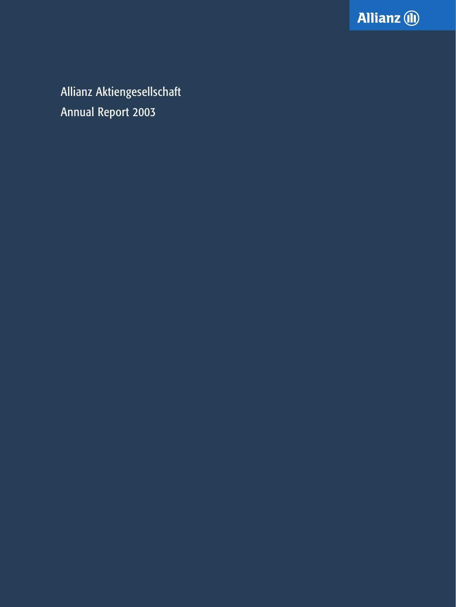

Allianz Aktiengesellschaft Annual Report 2003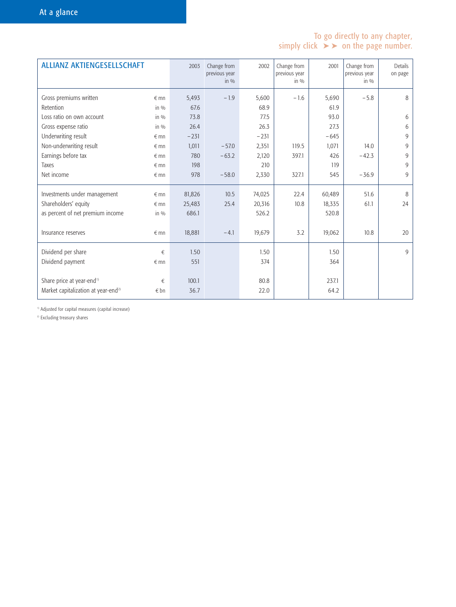# To go directly to any chapter, simply click  $\triangleright$  on the page number.

| <b>ALLIANZ AKTIENGESELLSCHAFT</b>               |               | 2003   | Change from<br>previous year<br>in $\%$ | 2002   | Change from<br>previous year<br>in $\%$ | 2001   | Change from<br>previous year<br>in $\%$ | <b>Details</b><br>on page |
|-------------------------------------------------|---------------|--------|-----------------------------------------|--------|-----------------------------------------|--------|-----------------------------------------|---------------------------|
| Gross premiums written                          | $\epsilon$ mn | 5,493  | $-1.9$                                  | 5,600  | $-1.6$                                  | 5,690  | $-5.8$                                  | 8                         |
| Retention                                       | in $\%$       | 67.6   |                                         | 68.9   |                                         | 61.9   |                                         |                           |
| Loss ratio on own account                       | in $\%$       | 73.8   |                                         | 77.5   |                                         | 93.0   |                                         | 6                         |
| Gross expense ratio                             | in $\%$       | 26.4   |                                         | 26.3   |                                         | 27.3   |                                         | 6                         |
| Underwriting result                             | $\epsilon$ mn | $-231$ |                                         | $-231$ |                                         | $-645$ |                                         | 9                         |
| Non-underwriting result                         | $\epsilon$ mn | 1,011  | $-57.0$                                 | 2,351  | 119.5                                   | 1,071  | 14.0                                    | 9                         |
| Earnings before tax                             | $\epsilon$ mn | 780    | $-63.2$                                 | 2,120  | 397.1                                   | 426    | $-42.3$                                 | 9                         |
| Taxes                                           | $\epsilon$ mn | 198    |                                         | 210    |                                         | 119    |                                         | 9                         |
| Net income                                      | $\epsilon$ mn | 978    | $-58.0$                                 | 2,330  | 327.1                                   | 545    | $-36.9$                                 | 9                         |
| Investments under management                    | $\epsilon$ mn | 81,826 | 10.5                                    | 74,025 | 22.4                                    | 60,489 | 51.6                                    | 8                         |
| Shareholders' equity                            | $\epsilon$ mn | 25,483 | 25.4                                    | 20,316 | 10.8                                    | 18,335 | 61.1                                    | 24                        |
| as percent of net premium income                | in $\%$       | 686.1  |                                         | 526.2  |                                         | 520.8  |                                         |                           |
| Insurance reserves                              | $\epsilon$ mn | 18,881 | $-4.1$                                  | 19,679 | 3.2                                     | 19,062 | 10.8                                    | 20                        |
| Dividend per share                              | €             | 1.50   |                                         | 1.50   |                                         | 1.50   |                                         | 9                         |
| Dividend payment                                | $\notin$ mn   | 551    |                                         | 374    |                                         | 364    |                                         |                           |
| Share price at year-end <sup>1)</sup>           | €             | 100.1  |                                         | 80.8   |                                         | 237.1  |                                         |                           |
| Market capitalization at year-end <sup>2)</sup> | $\epsilon$ bn | 36.7   |                                         | 22.0   |                                         | 64.2   |                                         |                           |

<sup>1)</sup> Adjusted for capital measures (capital increase)

<sup>2)</sup> Excluding treasury shares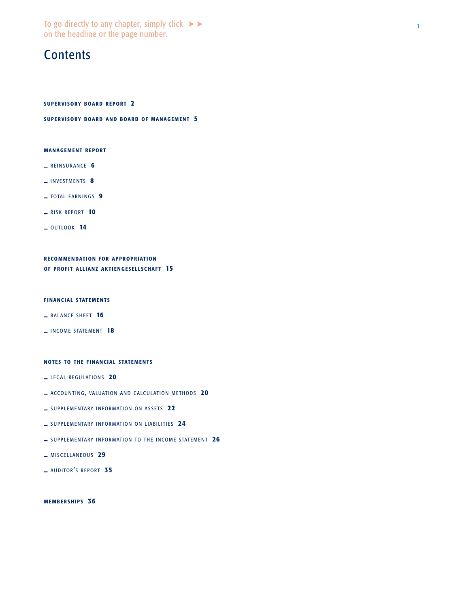To go directly to any chapter, simply click  $\blacktriangleright\blacktriangleright$ on the headline or the page number.

# **Contents**

[SUPERVISORY BOARD REPORT](#page-3-0) 2

SUPER[VISORY BOARD AND BOARD OF MANAGEMENT](#page-6-0) 5

#### [MANAGEMENT REPORT](#page-7-0)

- **\_** [REINSURANCE](#page-7-0) 6
- **\_** [INVESTMENTS](#page-9-0) 8
- **\_** [TOTAL EARNINGS](#page-10-0) 9
- **\_** [RISK REPORT](#page-11-0) 10
- **\_** [OUTLOOK](#page-15-0) 14

[RECOMMENDATION FOR APPROPRIATION](#page-16-0) OF PROFIT ALLIANZ AKTIENGESELLSCHAFT 15

#### FINANCIAL STATEMENTS

- $-$  BALANCE SHEET 16
- **\_** INCOME STATEMENT 18

#### NOTES TO THE FINANCIAL STATEMENTS

- **\_** [LEGAL REGULATIONS](#page-22-0) 20
- **\_** [ACCOUNTING, VALUATION AND CALCULATION METHODS](#page-22-0) 20
- **\_** [SUPPLEMENTARY INFORMATION ON ASSETS](#page-24-0) 22
- **\_** [SUPPLEMENTARY INFORMATION ON LIABILITIES](#page-26-0) 24
- **\_** [SUPPLEMENTARY INFORMATION TO THE INCOME STATEMENT](#page-28-0) 26
- **\_** [MISCELLANEOUS](#page-31-0) 29
- **\_ [AUDITOR](#page-37-0)'S REPORT 35**

[MEMBERSHIPS](#page-38-0) 36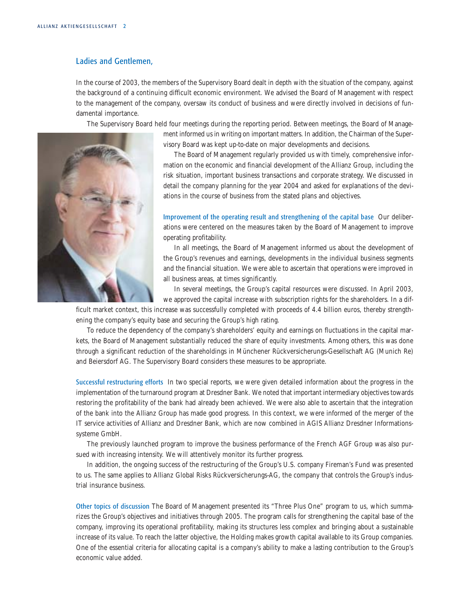# <span id="page-3-0"></span>Ladies and Gentlemen,

In the course of 2003, the members of the Supervisory Board dealt in depth with the situation of the company, against the background of a continuing difficult economic environment. We advised the Board of Management with respect to the management of the company, oversaw its conduct of business and were directly involved in decisions of fundamental importance.

The Supervisory Board held four meetings during the reporting period. Between meetings, the Board of Manage-



ment informed us in writing on important matters. In addition, the Chairman of the Supervisory Board was kept up-to-date on major developments and decisions.

The Board of Management regularly provided us with timely, comprehensive information on the economic and financial development of the Allianz Group, including the risk situation, important business transactions and corporate strategy. We discussed in detail the company planning for the year 2004 and asked for explanations of the deviations in the course of business from the stated plans and objectives.

Improvement of the operating result and strengthening of the capital base Our deliberations were centered on the measures taken by the Board of Management to improve operating profitability.

In all meetings, the Board of Management informed us about the development of the Group's revenues and earnings, developments in the individual business segments and the financial situation. We were able to ascertain that operations were improved in all business areas, at times significantly.

In several meetings, the Group's capital resources were discussed. In April 2003, we approved the capital increase with subscription rights for the shareholders. In a dif-

ficult market context, this increase was successfully completed with proceeds of 4.4 billion euros, thereby strengthening the company's equity base and securing the Group's high rating.

To reduce the dependency of the company's shareholders' equity and earnings on fluctuations in the capital markets, the Board of Management substantially reduced the share of equity investments. Among others, this was done through a significant reduction of the shareholdings in Münchener Rückversicherungs-Gesellschaft AG (Munich Re) and Beiersdorf AG. The Supervisory Board considers these measures to be appropriate.

Successful restructuring efforts In two special reports, we were given detailed information about the progress in the implementation of the turnaround program at Dresdner Bank. We noted that important intermediary objectives towards restoring the profitability of the bank had already been achieved. We were also able to ascertain that the integration of the bank into the Allianz Group has made good progress. In this context, we were informed of the merger of the IT service activities of Allianz and Dresdner Bank, which are now combined in AGIS Allianz Dresdner Informationssysteme GmbH.

The previously launched program to improve the business performance of the French AGF Group was also pursued with increasing intensity. We will attentively monitor its further progress.

In addition, the ongoing success of the restructuring of the Group's U.S. company Fireman's Fund was presented to us. The same applies to Allianz Global Risks Rückversicherungs-AG, the company that controls the Group's industrial insurance business.

Other topics of discussion The Board of Management presented its "Three Plus One" program to us, which summarizes the Group's objectives and initiatives through 2005. The program calls for strengthening the capital base of the company, improving its operational profitability, making its structures less complex and bringing about a sustainable increase of its value. To reach the latter objective, the Holding makes growth capital available to its Group companies. One of the essential criteria for allocating capital is a company's ability to make a lasting contribution to the Group's economic value added.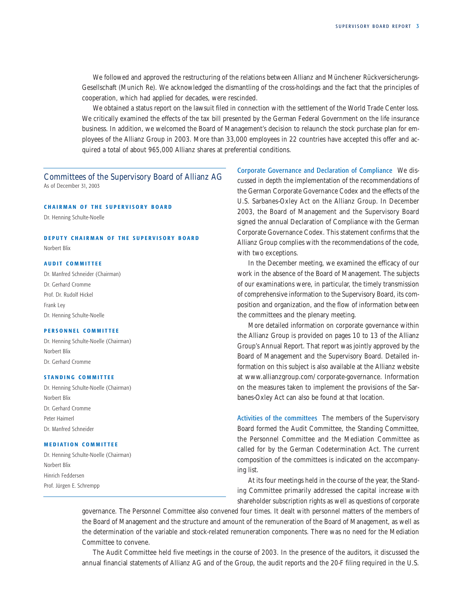We followed and approved the restructuring of the relations between Allianz and Münchener Rückversicherungs-Gesellschaft (Munich Re). We acknowledged the dismantling of the cross-holdings and the fact that the principles of cooperation, which had applied for decades, were rescinded.

We obtained a status report on the lawsuit filed in connection with the settlement of the World Trade Center loss. We critically examined the effects of the tax bill presented by the German Federal Government on the life insurance business. In addition, we welcomed the Board of Management's decision to relaunch the stock purchase plan for employees of the Allianz Group in 2003. More than 33,000 employees in 22 countries have accepted this offer and acquired a total of about 965,000 Allianz shares at preferential conditions.

Committees of the Supervisory Board of Allianz AG As of December 31, 2003

#### CHAIRMAN OF THE SUPERVISORY BOARD

Dr. Henning Schulte-Noelle

# DEPUTY C HAIRMAN OF THE SUPERVISORY BOARD

Norbert Blix

### AUDIT CO MMITTEE

Dr. Manfred Schneider (Chairman) Dr. Gerhard Cromme Prof. Dr. Rudolf Hickel Frank Ley Dr. Henning Schulte-Noelle

### PERSONNEL COMMITTEE

Dr. Henning Schulte-Noelle (Chairman) Norbert Blix Dr. Gerhard Cromme

### STANDING COMMITTEE

Dr. Henning Schulte-Noelle (Chairman) Norbert Blix Dr. Gerhard Cromme Peter Haimerl Dr. Manfred Schneider

### MEDIATION COMMITTEE

Dr. Henning Schulte-Noelle (Chairman) Norbert Blix Hinrich Feddersen Prof. Jürgen E. Schrempp

Corporate Governance and Declaration of Compliance We discussed in depth the implementation of the recommendations of the German Corporate Governance Codex and the effects of the U.S. Sarbanes-Oxley Act on the Allianz Group. In December 2003, the Board of Management and the Supervisory Board signed the annual Declaration of Compliance with the German Corporate Governance Codex. This statement confirms that the Allianz Group complies with the recommendations of the code, with two exceptions.

In the December meeting, we examined the efficacy of our work in the absence of the Board of Management. The subjects of our examinations were, in particular, the timely transmission of comprehensive information to the Supervisory Board, its composition and organization, and the flow of information between the committees and the plenary meeting.

More detailed information on corporate governance within the Allianz Group is provided on pages [10 to 13](#page-11-0) of the Allianz Group's Annual Report. That report was jointly approved by the Board of Management and the Supervisory Board. Detailed information on this subject is also available at the Allianz website at www.allianzgroup.com/corporate-governance. Information on the measures taken to implement the provisions of the Sarbanes-Oxley Act can also be found at that location.

Activities of the committees The members of the Supervisory Board formed the Audit Committee, the Standing Committee, the Personnel Committee and the Mediation Committee as called for by the German Codetermination Act. The current composition of the committees is indicated on the accompanying list.

At its four meetings held in the course of the year, the Standing Committee primarily addressed the capital increase with shareholder subscription rights as well as questions of corporate

governance. The Personnel Committee also convened four times. It dealt with personnel matters of the members of the Board of Management and the structure and amount of the remuneration of the Board of Management, as well as the determination of the variable and stock-related remuneration components. There was no need for the Mediation Committee to convene.

The Audit Committee held five meetings in the course of 2003. In the presence of the auditors, it discussed the annual financial statements of Allianz AG and of the Group, the audit reports and the 20-F filing required in the U.S.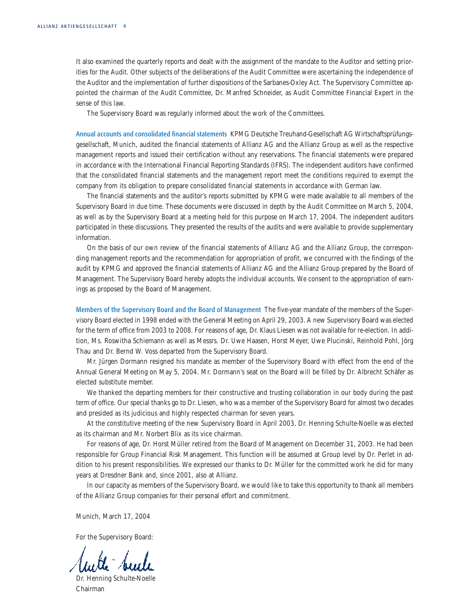It also examined the quarterly reports and dealt with the assignment of the mandate to the Auditor and setting priorities for the Audit. Other subjects of the deliberations of the Audit Committee were ascertaining the independence of the Auditor and the implementation of further dispositions of the Sarbanes-Oxley Act. The Supervisory Committee appointed the chairman of the Audit Committee, Dr. Manfred Schneider, as Audit Committee Financial Expert in the sense of this law.

The Supervisory Board was regularly informed about the work of the Committees.

Annual accounts and consolidated financial statements KPMG Deutsche Treuhand-Gesellschaft AG Wirtschaftsprüfungsgesellschaft, Munich, audited the financial statements of Allianz AG and the Allianz Group as well as the respective management reports and issued their certification without any reservations. The financial statements were prepared in accordance with the International Financial Reporting Standards (IFRS). The independent auditors have confirmed that the consolidated financial statements and the management report meet the conditions required to exempt the company from its obligation to prepare consolidated financial statements in accordance with German law.

The financial statements and the auditor's reports submitted by KPMG were made available to all members of the Supervisory Board in due time. These documents were discussed in depth by the Audit Committee on March 5, 2004, as well as by the Supervisory Board at a meeting held for this purpose on March 17, 2004. The independent auditors participated in these discussions. They presented the results of the audits and were available to provide supplementary information.

On the basis of our own review of the financial statements of Allianz AG and the Allianz Group, the corresponding management reports and the recommendation for appropriation of profit, we concurred with the findings of the audit by KPMG and approved the financial statements of Allianz AG and the Allianz Group prepared by the Board of Management. The Supervisory Board hereby adopts the individual accounts. We consent to the appropriation of earnings as proposed by the Board of Management.

Members of the Supervisory Board and the Board of Management The five-year mandate of the members of the Supervisory Board elected in 1998 ended with the General Meeting on April 29, 2003. A new Supervisory Board was elected for the term of office from 2003 to 2008. For reasons of age, Dr. Klaus Liesen was not available for re-election. In addition, Ms. Roswitha Schiemann as well as Messrs. Dr. Uwe Haasen, Horst Meyer, Uwe Plucinski, Reinhold Pohl, Jörg Thau and Dr. Bernd W. Voss departed from the Supervisory Board.

Mr. Jürgen Dormann resigned his mandate as member of the Supervisory Board with effect from the end of the Annual General Meeting on May 5, 2004. Mr. Dormann's seat on the Board will be filled by Dr. Albrecht Schäfer as elected substitute member.

We thanked the departing members for their constructive and trusting collaboration in our body during the past term of office. Our special thanks go to Dr. Liesen, who was a member of the Supervisory Board for almost two decades and presided as its judicious and highly respected chairman for seven years.

At the constitutive meeting of the new Supervisory Board in April 2003, Dr. Henning Schulte-Noelle was elected as its chairman and Mr. Norbert Blix as its vice chairman.

For reasons of age, Dr. Horst Müller retired from the Board of Management on December 31, 2003. He had been responsible for Group Financial Risk Management. This function will be assumed at Group level by Dr. Perlet in addition to his present responsibilities. We expressed our thanks to Dr. Müller for the committed work he did for many years at Dresdner Bank and, since 2001, also at Allianz.

In our capacity as members of the Supervisory Board, we would like to take this opportunity to thank all members of the Allianz Group companies for their personal effort and commitment.

Munich, March 17, 2004

For the Supervisory Board:

Dr. Henning Schulte-Noelle Chairman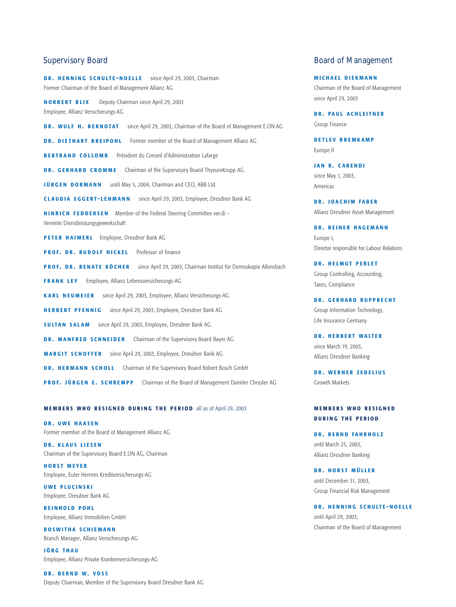DR. HENNING SCHULTE-NOELLE since April 29, 2003, Chairman Former Chairman of the Board of Management Allianz AG

NORBERT BLIX Deputy Chairman since April 29, 2003 Employee, Allianz Versicherungs-AG

DR. WULF H. BERNOTAT since April 29, 2003, Chairman of the Board of Management E.ON AG

DR. DIETHART BREIPOHL Former member of the Board of Management Allianz AG

BERTRAND COLLOMB Président du Conseil d'Administration Lafarge

DR. GERHARD CROMME Chairman of the Supervisory Board ThyssenKrupp AG

JÜRGEN DORMANN until May 5, 2004, Chairman and CEO, ABB Ltd.

CLAUDIA EGGERT - LEHMANN since April 29, 2003, Employee, Dresdner Bank AG

HINRICH FEDDERSEN Member of the Federal Steering Committee ver.di – Vereinte Dienstleistungsgewerkschaft

PETER HAIMERL Employee, Dresdner Bank AG

PROF. DR. RUDOLF HICKEL Professor of finance

PROF. DR. RENATE KÖCHER since April 29, 2003, Chairman Institut für Demoskopie Allensbach

FRANK LEY Employee, Allianz Lebensversicherungs-AG

KARL NEUMEIER since April 29, 2003, Employee, Allianz Versicherungs-AG

HERBERT PFENNIG since April 29, 2003, Employee, Dresdner Bank AG

SULTAN SALAM since April 29, 2003, Employee, Dresdner Bank AG

DR. MANFRED SCHNEIDER Chairman of the Supervisory Board Bayer AG

MAR GIT SCHOFFER since April 29, 2003, Employee, Dresdner Bank AG

DR. HERMANN SCHOLL Chairman of the Supervisory Board Robert Bosch GmbH

PROF. JÜRGEN E. SCHREMPP Chairman of the Board of Management Daimler Chrysler AG

#### MEMBERS WHO RESIGNED DURING THE PERIOD all as of April 29, 2003

DR. UWE HAASEN Former member of the Board of Management Allianz AG

DR. KLAUS LIESEN Chairman of the Supervisory Board E.ON AG, Chairman

HORST MEYER Employee, Euler Hermes Kreditversicherungs-AG

UWE PLUCINSKI Employee, Dresdner Bank AG

REINHOLD POHL Employee, Allianz Immobilien GmbH

R O SWITHA SCHIEMANN Branch Manager, Allianz Versicherungs-AG

JÖRG THAU Employee, Allianz Private Krankenversicherungs-AG

DR. BERND W. VOSS Deputy Chairman, Member of the Supervisory Board Dresdner Bank AG

## <span id="page-6-0"></span>Supervisory Board **Board COVID-EXECUTE:** Board of Management

MICHAEL DIEKMANN Chairman of the Board of Management since April 29, 2003

DR. PAUL ACHLEITNER Group Finance

DETLEV BREMKAMP Europe II

JAN R. CARENDI since May 1, 2003, Americas

DR. JOACHIM FABER Allianz Dresdner Asset Management

DR. REINER HAGEMANN Europe I, Director responsible for Labour Relations

DR. HELMUT PERLET Group Controlling, Accounting, Taxes, Compliance

DR. GERHARD RUPPRECHT Group Information Technology, Life Insurance Germany

DR. HERBERT WALTER since March 19, 2003, Allianz Dresdner Banking

DR. WERNER ZEDELIUS Growth Markets

## MEMBERS WHO RESIGNED DURING THE PERIOD

DR. BERND FAHRHOLZ until March 25, 2003, Allianz Dresdner Banking

DR. HORST MÜLLER until December 31, 2003, Group Financial Risk Management

DR. HENNING SCHULTE-NOELLE until April 29, 2003, Chairman of the Board of Management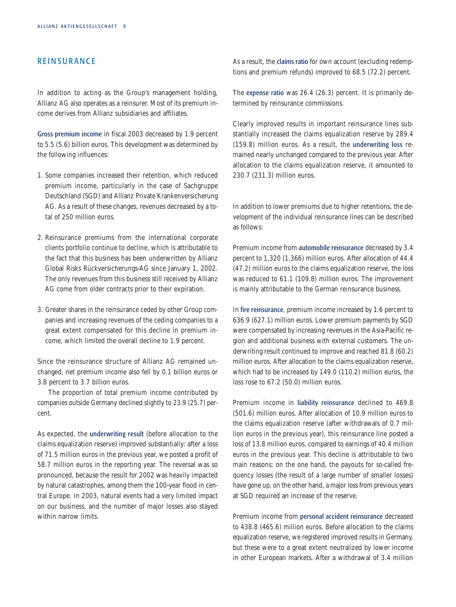# <span id="page-7-0"></span>**REINSURANCE**

In addition to acting as the Group's management holding, Allianz AG also operates as a reinsurer. Most of its premium income derives from Allianz subsidiaries and affiliates.

Gross premium income in fiscal 2003 decreased by 1.9 percent to 5.5 (5.6) billion euros. This development was determined by the following influences:

- 1. Some companies increased their retention, which reduced premium income, particularly in the case of Sachgruppe Deutschland (SGD) and Allianz Private Krankenversicherung AG. As a result of these changes, revenues decreased by a total of 250 million euros.
- 2. Reinsurance premiums from the international corporate clients portfolio continue to decline, which is attributable to the fact that this business has been underwritten by Allianz Global Risks Rückversicherungs-AG since January 1, 2002. The only revenues from this business still received by Allianz AG come from older contracts prior to their expiration.
- 3. Greater shares in the reinsurance ceded by other Group companies and increasing revenues of the ceding companies to a great extent compensated for this decline in premium income, which limited the overall decline to 1.9 percent.

Since the reinsurance structure of Allianz AG remained unchanged, net premium income also fell by 0.1 billion euros or 3.8 percent to 3.7 billion euros.

The proportion of total premium income contributed by companies outside Germany declined slightly to 23.9 (25.7) percent.

As expected, the underwriting result (before allocation to the claims equalization reserve) improved substantially: after a loss of 71.5 million euros in the previous year, we posted a profit of 58.7 million euros in the reporting year. The reversal was so pronounced, because the result for 2002 was heavily impacted by natural catastrophes, among them the 100-year flood in central Europe. In 2003, natural events had a very limited impact on our business, and the number of major losses also stayed within narrow limits.

As a result, the **claims ratio** for own account (excluding redemptions and premium refunds) improved to 68.5 (72.2) percent.

The expense ratio was 26.4 (26.3) percent. It is primarily determined by reinsurance commissions.

Clearly improved results in important reinsurance lines substantially increased the claims equalization reserve by 289.4 (159.8) million euros. As a result, the underwriting loss remained nearly unchanged compared to the previous year. After allocation to the claims equalization reserve, it amounted to 230.7 (231.3) million euros.

In addition to lower premiums due to higher retentions, the development of the individual reinsurance lines can be described as follows:

Premium income from automobile reinsurance decreased by 3.4 percent to 1,320 (1,366) million euros. After allocation of 44.4 (47.2) million euros to the claims equalization reserve, the loss was reduced to 61.1 (109.8) million euros. The improvement is mainly attributable to the German reinsurance business.

In fire reinsurance, premium income increased by 1.6 percent to 636.9 (627.1) million euros. Lower premium payments by SGD were compensated by increasing revenues in the Asia-Pacific region and additional business with external customers. The underwriting result continued to improve and reached 81.8 (60.2) million euros. After allocation to the claims equalization reserve, which had to be increased by 149.0 (110.2) million euros, the loss rose to 67.2 (50.0) million euros.

Premium income in liability reinsurance declined to 469.8 (501.6) million euros. After allocation of 10.9 million euros to the claims equalization reserve (after withdrawals of 0.7 million euros in the previous year), this reinsurance line posted a loss of 13.8 million euros, compared to earnings of 40.4 million euros in the previous year. This decline is attributable to two main reasons: on the one hand, the payouts for so-called frequency losses (the result of a large number of smaller losses) have gone up, on the other hand, a major loss from previous years at SGD required an increase of the reserve.

Premium income from personal accident reinsurance decreased to 438.8 (465.6) million euros. Before allocation to the claims equalization reserve, we registered improved results in Germany, but these were to a great extent neutralized by lower income in other European markets. After a withdrawal of 3.4 million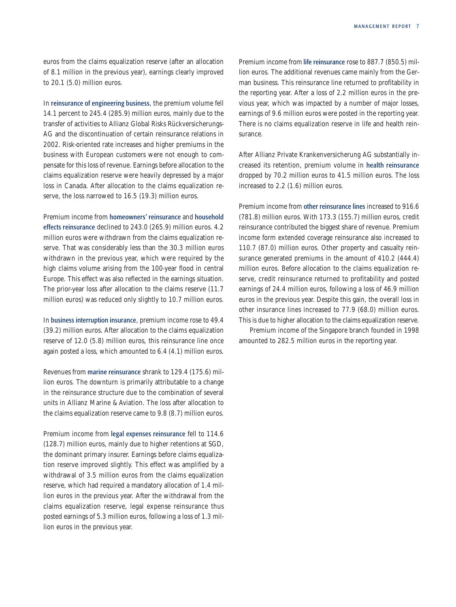euros from the claims equalization reserve (after an allocation of 8.1 million in the previous year), earnings clearly improved to 20.1 (5.0) million euros.

In reinsurance of engineering business, the premium volume fell 14.1 percent to 245.4 (285.9) million euros, mainly due to the transfer of activities to Allianz Global Risks Rückversicherungs-AG and the discontinuation of certain reinsurance relations in 2002. Risk-oriented rate increases and higher premiums in the business with European customers were not enough to compensate for this loss of revenue. Earnings before allocation to the claims equalization reserve were heavily depressed by a major loss in Canada. After allocation to the claims equalization reserve, the loss narrowed to 16.5 (19.3) million euros.

Premium income from homeowners' reinsurance and household effects reinsurance declined to 243.0 (265.9) million euros. 4.2 million euros were withdrawn from the claims equalization reserve. That was considerably less than the 30.3 million euros withdrawn in the previous year, which were required by the high claims volume arising from the 100-year flood in central Europe. This effect was also reflected in the earnings situation. The prior-year loss after allocation to the claims reserve (11.7 million euros) was reduced only slightly to 10.7 million euros.

In business interruption insurance, premium income rose to 49.4 (39.2) million euros. After allocation to the claims equalization reserve of 12.0 (5.8) million euros, this reinsurance line once again posted a loss, which amounted to 6.4 (4.1) million euros.

Revenues from marine reinsurance shrank to 129.4 (175.6) million euros. The downturn is primarily attributable to a change in the reinsurance structure due to the combination of several units in Allianz Marine & Aviation. The loss after allocation to the claims equalization reserve came to 9.8 (8.7) million euros.

Premium income from legal expenses reinsurance fell to 114.6 (128.7) million euros, mainly due to higher retentions at SGD, the dominant primary insurer. Earnings before claims equalization reserve improved slightly. This effect was amplified by a withdrawal of 3.5 million euros from the claims equalization reserve, which had required a mandatory allocation of 1.4 million euros in the previous year. After the withdrawal from the claims equalization reserve, legal expense reinsurance thus posted earnings of 5.3 million euros, following a loss of 1.3 million euros in the previous year.

Premium income from life reinsurance rose to 887.7 (850.5) million euros. The additional revenues came mainly from the German business. This reinsurance line returned to profitability in the reporting year. After a loss of 2.2 million euros in the previous year, which was impacted by a number of major losses, earnings of 9.6 million euros were posted in the reporting year. There is no claims equalization reserve in life and health reinsurance.

After Allianz Private Krankenversicherung AG substantially increased its retention, premium volume in health reinsurance dropped by 70.2 million euros to 41.5 million euros. The loss increased to 2.2 (1.6) million euros.

Premium income from other reinsurance lines increased to 916.6 (781.8) million euros. With 173.3 (155.7) million euros, credit reinsurance contributed the biggest share of revenue. Premium income form extended coverage reinsurance also increased to 110.7 (87.0) million euros. Other property and casualty reinsurance generated premiums in the amount of 410.2 (444.4) million euros. Before allocation to the claims equalization reserve, credit reinsurance returned to profitability and posted earnings of 24.4 million euros, following a loss of 46.9 million euros in the previous year. Despite this gain, the overall loss in other insurance lines increased to 77.9 (68.0) million euros. This is due to higher allocation to the claims equalization reserve.

Premium income of the Singapore branch founded in 1998 amounted to 282.5 million euros in the reporting year.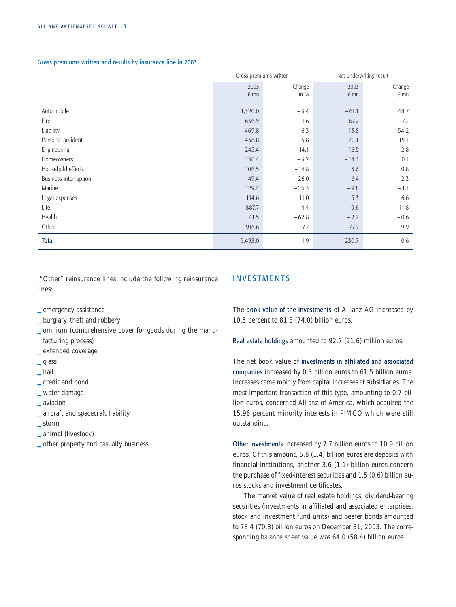<span id="page-9-0"></span>Gross premiums written and results by insurance line in 2003

|                       | Gross premiums written |         | Net underwriting result |               |
|-----------------------|------------------------|---------|-------------------------|---------------|
|                       | 2003                   | Change  | 2003                    | Change        |
|                       | $\notin$ mn            | in $\%$ | $\notin$ mn             | $\epsilon$ mn |
| Automobile            | 1,320.0                | $-3.4$  | $-61.1$                 | 48.7          |
| Fire                  | 636.9                  | 1.6     | $-67.2$                 | $-17.2$       |
| Liability             | 469.8                  | $-6.3$  | $-13.8$                 | $-54.2$       |
| Personal accident     | 438.8                  | $-5.8$  | 20.1                    | 15.1          |
| Engineering           | 245.4                  | $-14.1$ | $-16.5$                 | 2.8           |
| Homeowners            | 136.4                  | $-3.2$  | $-14.4$                 | 0.1           |
| Household effects     | 106.5                  | $-14.8$ | 3.6                     | 0.8           |
| Business interruption | 49.4                   | 26.0    | $-6.4$                  | $-2.3$        |
| Marine                | 129.4                  | $-26.3$ | $-9.8$                  | $-1.1$        |
| Legal expenses        | 114.6                  | $-11.0$ | 5.3                     | 6.6           |
| Life                  | 887.7                  | 4.4     | 9.6                     | 11.8          |
| Health                | 41.5                   | $-62.8$ | $-2.2$                  | $-0.6$        |
| Other                 | 916.6                  | 17.2    | $-77.9$                 | $-9.9$        |
| <b>Total</b>          | 5,493.0                | $-1.9$  | $-230.7$                | 0.6           |

"Other" reinsurance lines include the following reinsurance lines:

## **INVESTMENTS**

**\_** emergency assistance

- **\_** burglary, theft and robbery
- **\_** omnium (comprehensive cover for goods during the manufacturing process)
- **\_** extended coverage
- **\_** glass
- **\_** hail
- **\_** credit and bond
- **\_** water damage
- **\_** aviation
- **\_** aircraft and spacecraft liability
- **\_** storm
- **\_** animal (livestock)
- **\_** other property and casualty business

The book value of the investments of Allianz AG increased by 10.5 percent to 81.8 (74.0) billion euros.

Real estate holdings amounted to 92.7 (91.6) million euros.

The net book value of investments in affiliated and associated companies increased by 0.3 billion euros to 61.5 billion euros. Increases came mainly from capital increases at subsidiaries. The most important transaction of this type, amounting to 0.7 billion euros, concerned Allianz of America, which acquired the 15.96 percent minority interests in PIMCO which were still outstanding.

Other investments increased by 7.7 billion euros to 10.9 billion euros. Of this amount, 5.8 (1.4) billion euros are deposits with financial institutions, another 3.6 (1.1) billion euros concern the purchase of fixed-interest securities and 1.5 (0.6) billion euros stocks and investment certificates.

The market value of real estate holdings, dividend-bearing securities (investments in affiliated and associated enterprises, stock and investment fund units) and bearer bonds amounted to 78.4 (70.8) billion euros on December 31, 2003. The corresponding balance sheet value was 64.0 (58.4) billion euros.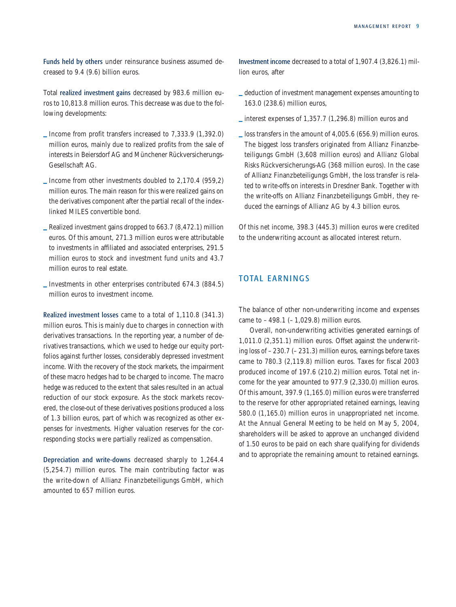<span id="page-10-0"></span>Funds held by others under reinsurance business assumed decreased to 9.4 (9.6) billion euros.

Total realized investment gains decreased by 983.6 million euros to 10,813.8 million euros. This decrease was due to the following developments:

- **\_** Income from profit transfers increased to 7,333.9 (1,392.0) million euros, mainly due to realized profits from the sale of interests in Beiersdorf AG and Münchener Rückversicherungs-Gesellschaft AG.
- **\_** Income from other investments doubled to 2,170.4 (959,2) million euros. The main reason for this were realized gains on the derivatives component after the partial recall of the indexlinked MILES convertible bond.
- **\_** Realized investment gains dropped to 663.7 (8,472.1) million euros. Of this amount, 271.3 million euros were attributable to investments in affiliated and associated enterprises, 291.5 million euros to stock and investment fund units and 43.7 million euros to real estate.
- **\_** Investments in other enterprises contributed 674.3 (884.5) million euros to investment income.

Realized investment losses came to a total of 1,110.8 (341.3) million euros. This is mainly due to charges in connection with derivatives transactions. In the reporting year, a number of derivatives transactions, which we used to hedge our equity portfolios against further losses, considerably depressed investment income. With the recovery of the stock markets, the impairment of these macro hedges had to be charged to income. The macro hedge was reduced to the extent that sales resulted in an actual reduction of our stock exposure. As the stock markets recovered, the close-out of these derivatives positions produced a loss of 1.3 billion euros, part of which was recognized as other expenses for investments. Higher valuation reserves for the corresponding stocks were partially realized as compensation.

Depreciation and write-downs decreased sharply to 1,264.4 (5,254.7) million euros. The main contributing factor was the write-down of Allianz Finanzbeteiligungs GmbH, which amounted to 657 million euros.

Investment income decreased to a total of 1,907.4 (3,826.1) million euros, after

- **\_** deduction of investment management expenses amounting to 163.0 (238.6) million euros,
- **\_** interest expenses of 1,357.7 (1,296.8) million euros and
- **\_** loss transfers in the amount of 4,005.6 (656.9) million euros. The biggest loss transfers originated from Allianz Finanzbeteiligungs GmbH (3,608 million euros) and Allianz Global Risks Rückversicherungs-AG (368 million euros). In the case of Allianz Finanzbeteiligungs GmbH, the loss transfer is related to write-offs on interests in Dresdner Bank. Together with the write-offs on Allianz Finanzbeteiligungs GmbH, they reduced the earnings of Allianz AG by 4.3 billion euros.

Of this net income, 398.3 (445.3) million euros were credited to the underwriting account as allocated interest return.

# TOTAL EARNINGS

The balance of other non-underwriting income and expenses came to  $-498.1$  ( $-1,029.8$ ) million euros.

Overall, non-underwriting activities generated earnings of 1,011.0 (2,351.1) million euros. Offset against the underwriting loss of – 230.7 (– 231.3) million euros, earnings before taxes came to 780.3 (2,119.8) million euros. Taxes for fiscal 2003 produced income of 197.6 (210.2) million euros. Total net income for the year amounted to 977.9 (2,330.0) million euros. Of this amount, 397.9 (1,165.0) million euros were transferred to the reserve for other appropriated retained earnings, leaving 580.0 (1,165.0) million euros in unappropriated net income. At the Annual General Meeting to be held on May 5, 2004, shareholders will be asked to approve an unchanged dividend of 1.50 euros to be paid on each share qualifying for dividends and to appropriate the remaining amount to retained earnings.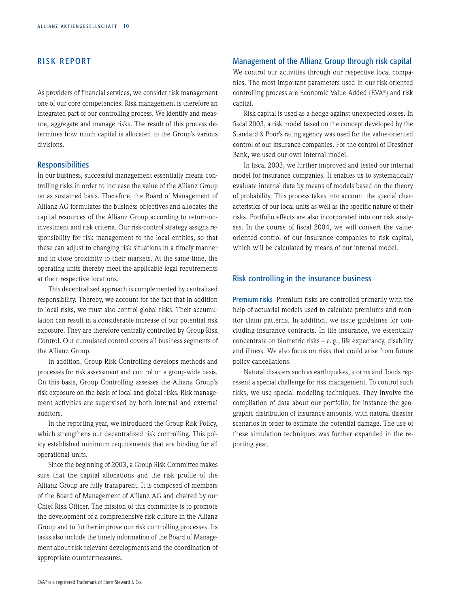# <span id="page-11-0"></span>RISK REPORT

As providers of financial services, we consider risk management one of our core competencies. Risk management is therefore an integrated part of our controlling process. We identify and measure, aggregate and manage risks. The result of this process determines how much capital is allocated to the Group's various divisions.

### **Responsibilities**

In our business, successful management essentially means controlling risks in order to increase the value of the Allianz Group on as sustained basis. Therefore, the Board of Management of Allianz AG formulates the business objectives and allocates the capital resources of the Allianz Group according to return-oninvestment and risk criteria. Our risk-control strategy assigns responsibility for risk management to the local entities, so that these can adjust to changing risk situations in a timely manner and in close proximity to their markets. At the same time, the operating units thereby meet the applicable legal requirements at their respective locations.

This decentralized approach is complemented by centralized responsibility. Thereby, we account for the fact that in addition to local risks, we must also control global risks. Their accumulation can result in a considerable increase of our potential risk exposure. They are therefore centrally controlled by Group Risk Control. Our cumulated control covers all business segments of the Allianz Group.

In addition, Group Risk Controlling develops methods and processes for risk assessment and control on a group-wide basis. On this basis, Group Controlling assesses the Allianz Group's risk exposure on the basis of local and global risks. Risk management activities are supervised by both internal and external auditors.

In the reporting year, we introduced the Group Risk Policy, which strengthens our decentralized risk controlling. This policy established minimum requirements that are binding for all operational units.

Since the beginning of 2003, a Group Risk Committee makes sure that the capital allocations and the risk profile of the Allianz Group are fully transparent. It is composed of members of the Board of Management of Allianz AG and chaired by our Chief Risk Officer. The mission of this committee is to promote the development of a comprehensive risk culture in the Allianz Group and to further improve our risk controlling processes. Its tasks also include the timely information of the Board of Management about risk-relevant developments and the coordination of appropriate countermeasures.

## Management of the Allianz Group through risk capital

We control our activities through our respective local companies. The most important parameters used in our risk-oriented controlling process are Economic Value Added (EVA®) and risk capital.

Risk capital is used as a hedge against unexpected losses. In fiscal 2003, a risk model based on the concept developed by the Standard & Poor's rating agency was used for the value-oriented control of our insurance companies. For the control of Dresdner Bank, we used our own internal model.

In fiscal 2003, we further improved and tested our internal model for insurance companies. It enables us to systematically evaluate internal data by means of models based on the theory of probability. This process takes into account the special characteristics of our local units as well as the specific nature of their risks. Portfolio effects are also incorporated into our risk analyses. In the course of fiscal 2004, we will convert the valueoriented control of our insurance companies to risk capital, which will be calculated by means of our internal model.

# Risk controlling in the insurance business

Premium risks Premium risks are controlled primarily with the help of actuarial models used to calculate premiums and monitor claim patterns. In addition, we issue guidelines for concluding insurance contracts. In life insurance, we essentially concentrate on biometric risks – e. g., life expectancy, disability and illness. We also focus on risks that could arise from future policy cancellations.

Natural disasters such as earthquakes, storms and floods represent a special challenge for risk management. To control such risks, we use special modeling techniques. They involve the compilation of data about our portfolio, for instance the geographic distribution of insurance amounts, with natural disaster scenarios in order to estimate the potential damage. The use of these simulation techniques was further expanded in the reporting year.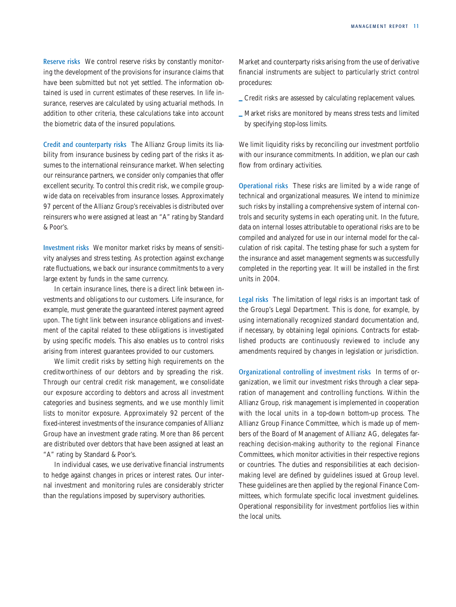Reserve risks We control reserve risks by constantly monitoring the development of the provisions for insurance claims that have been submitted but not yet settled. The information obtained is used in current estimates of these reserves. In life insurance, reserves are calculated by using actuarial methods. In addition to other criteria, these calculations take into account the biometric data of the insured populations.

Credit and counterparty risks The Allianz Group limits its liability from insurance business by ceding part of the risks it assumes to the international reinsurance market. When selecting our reinsurance partners, we consider only companies that offer excellent security. To control this credit risk, we compile groupwide data on receivables from insurance losses. Approximately 97 percent of the Allianz Group's receivables is distributed over reinsurers who were assigned at least an "A" rating by Standard & Poor's.

Investment risks We monitor market risks by means of sensitivity analyses and stress testing. As protection against exchange rate fluctuations, we back our insurance commitments to a very large extent by funds in the same currency.

In certain insurance lines, there is a direct link between investments and obligations to our customers. Life insurance, for example, must generate the guaranteed interest payment agreed upon. The tight link between insurance obligations and investment of the capital related to these obligations is investigated by using specific models. This also enables us to control risks arising from interest guarantees provided to our customers.

We limit credit risks by setting high requirements on the creditworthiness of our debtors and by spreading the risk. Through our central credit risk management, we consolidate our exposure according to debtors and across all investment categories and business segments, and we use monthly limit lists to monitor exposure. Approximately 92 percent of the fixed-interest investments of the insurance companies of Allianz Group have an investment grade rating. More than 86 percent are distributed over debtors that have been assigned at least an "A" rating by Standard & Poor's.

In individual cases, we use derivative financial instruments to hedge against changes in prices or interest rates. Our internal investment and monitoring rules are considerably stricter than the regulations imposed by supervisory authorities.

Market and counterparty risks arising from the use of derivative financial instruments are subject to particularly strict control procedures:

- **\_** Credit risks are assessed by calculating replacement values.
- **\_** Market risks are monitored by means stress tests and limited by specifying stop-loss limits.

We limit liquidity risks by reconciling our investment portfolio with our insurance commitments. In addition, we plan our cash flow from ordinary activities.

Operational risks These risks are limited by a wide range of technical and organizational measures. We intend to minimize such risks by installing a comprehensive system of internal controls and security systems in each operating unit. In the future, data on internal losses attributable to operational risks are to be compiled and analyzed for use in our internal model for the calculation of risk capital. The testing phase for such a system for the insurance and asset management segments was successfully completed in the reporting year. It will be installed in the first units in 2004.

Legal risks The limitation of legal risks is an important task of the Group's Legal Department. This is done, for example, by using internationally recognized standard documentation and, if necessary, by obtaining legal opinions. Contracts for established products are continuously reviewed to include any amendments required by changes in legislation or jurisdiction.

Organizational controlling of investment risks In terms of organization, we limit our investment risks through a clear separation of management and controlling functions. Within the Allianz Group, risk management is implemented in cooperation with the local units in a top-down bottom-up process. The Allianz Group Finance Committee, which is made up of members of the Board of Management of Allianz AG, delegates farreaching decision-making authority to the regional Finance Committees, which monitor activities in their respective regions or countries. The duties and responsibilities at each decisionmaking level are defined by guidelines issued at Group level. These guidelines are then applied by the regional Finance Committees, which formulate specific local investment guidelines. Operational responsibility for investment portfolios lies within the local units.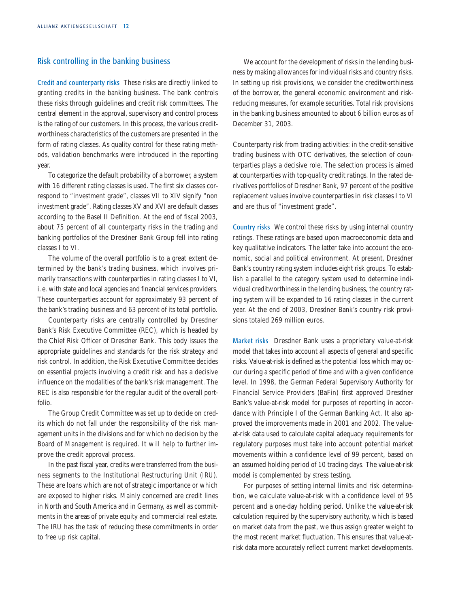# Risk controlling in the banking business

Credit and counterparty risks These risks are directly linked to granting credits in the banking business. The bank controls these risks through guidelines and credit risk committees. The central element in the approval, supervisory and control process is the rating of our customers. In this process, the various creditworthiness characteristics of the customers are presented in the form of rating classes. As quality control for these rating methods, validation benchmarks were introduced in the reporting year.

To categorize the default probability of a borrower, a system with 16 different rating classes is used. The first six classes correspond to "investment grade", classes VII to XIV signify "non investment grade". Rating classes XV and XVI are default classes according to the Basel II Definition. At the end of fiscal 2003, about 75 percent of all counterparty risks in the trading and banking portfolios of the Dresdner Bank Group fell into rating classes I to VI.

The volume of the overall portfolio is to a great extent determined by the bank's trading business, which involves primarily transactions with counterparties in rating classes I to VI, i. e. with state and local agencies and financial services providers. These counterparties account for approximately 93 percent of the bank's trading business and 63 percent of its total portfolio.

Counterparty risks are centrally controlled by Dresdner Bank's Risk Executive Committee (REC), which is headed by the Chief Risk Officer of Dresdner Bank. This body issues the appropriate guidelines and standards for the risk strategy and risk control. In addition, the Risk Executive Committee decides on essential projects involving a credit risk and has a decisive influence on the modalities of the bank's risk management. The REC is also responsible for the regular audit of the overall portfolio.

The Group Credit Committee was set up to decide on credits which do not fall under the responsibility of the risk management units in the divisions and for which no decision by the Board of Management is required. It will help to further improve the credit approval process.

In the past fiscal year, credits were transferred from the business segments to the Institutional Restructuring Unit (IRU). These are loans which are not of strategic importance or which are exposed to higher risks. Mainly concerned are credit lines in North and South America and in Germany, as well as commitments in the areas of private equity and commercial real estate. The IRU has the task of reducing these commitments in order to free up risk capital.

We account for the development of risks in the lending business by making allowances for individual risks and country risks. In setting up risk provisions, we consider the creditworthiness of the borrower, the general economic environment and riskreducing measures, for example securities. Total risk provisions in the banking business amounted to about 6 billion euros as of December 31, 2003.

Counterparty risk from trading activities: in the credit-sensitive trading business with OTC derivatives, the selection of counterparties plays a decisive role. The selection process is aimed at counterparties with top-quality credit ratings. In the rated derivatives portfolios of Dresdner Bank, 97 percent of the positive replacement values involve counterparties in risk classes I to VI and are thus of "investment grade".

Country risks We control these risks by using internal country ratings. These ratings are based upon macroeconomic data and key qualitative indicators. The latter take into account the economic, social and political environment. At present, Dresdner Bank's country rating system includes eight risk groups. To establish a parallel to the category system used to determine individual creditworthiness in the lending business, the country rating system will be expanded to 16 rating classes in the current year. At the end of 2003, Dresdner Bank's country risk provisions totaled 269 million euros.

Market risks Dresdner Bank uses a proprietary value-at-risk model that takes into account all aspects of general and specific risks. Value-at-risk is defined as the potential loss which may occur during a specific period of time and with a given confidence level. In 1998, the German Federal Supervisory Authority for Financial Service Providers (BaFin) first approved Dresdner Bank's value-at-risk model for purposes of reporting in accordance with Principle I of the German Banking Act. It also approved the improvements made in 2001 and 2002. The valueat-risk data used to calculate capital adequacy requirements for regulatory purposes must take into account potential market movements within a confidence level of 99 percent, based on an assumed holding period of 10 trading days. The value-at-risk model is complemented by stress testing.

For purposes of setting internal limits and risk determination, we calculate value-at-risk with a confidence level of 95 percent and a one-day holding period. Unlike the value-at-risk calculation required by the supervisory authority, which is based on market data from the past, we thus assign greater weight to the most recent market fluctuation. This ensures that value-atrisk data more accurately reflect current market developments.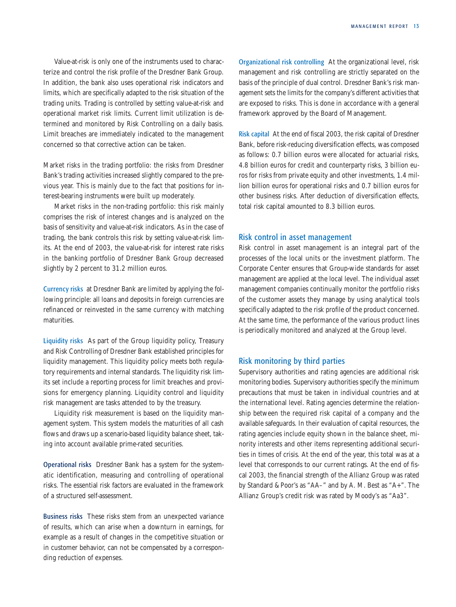Value-at-risk is only one of the instruments used to characterize and control the risk profile of the Dresdner Bank Group. In addition, the bank also uses operational risk indicators and limits, which are specifically adapted to the risk situation of the trading units. Trading is controlled by setting value-at-risk and operational market risk limits. Current limit utilization is determined and monitored by Risk Controlling on a daily basis. Limit breaches are immediately indicated to the management concerned so that corrective action can be taken.

Market risks in the trading portfolio: the risks from Dresdner Bank's trading activities increased slightly compared to the previous year. This is mainly due to the fact that positions for interest-bearing instruments were built up moderately.

Market risks in the non-trading portfolio: this risk mainly comprises the risk of interest changes and is analyzed on the basis of sensitivity and value-at-risk indicators. As in the case of trading, the bank controls this risk by setting value-at-risk limits. At the end of 2003, the value-at-risk for interest rate risks in the banking portfolio of Dresdner Bank Group decreased slightly by 2 percent to 31.2 million euros.

Currency risks at Dresdner Bank are limited by applying the following principle: all loans and deposits in foreign currencies are refinanced or reinvested in the same currency with matching maturities.

Liquidity risks As part of the Group liquidity policy, Treasury and Risk Controlling of Dresdner Bank established principles for liquidity management. This liquidity policy meets both regulatory requirements and internal standards. The liquidity risk limits set include a reporting process for limit breaches and provisions for emergency planning. Liquidity control and liquidity risk management are tasks attended to by the treasury.

Liquidity risk measurement is based on the liquidity management system. This system models the maturities of all cash flows and draws up a scenario-based liquidity balance sheet, taking into account available prime-rated securities.

Operational risks Dresdner Bank has a system for the systematic identification, measuring and controlling of operational risks. The essential risk factors are evaluated in the framework of a structured self-assessment.

Business risks These risks stem from an unexpected variance of results, which can arise when a downturn in earnings, for example as a result of changes in the competitive situation or in customer behavior, can not be compensated by a corresponding reduction of expenses.

Organizational risk controlling At the organizational level, risk management and risk controlling are strictly separated on the basis of the principle of dual control. Dresdner Bank's risk management sets the limits for the company's different activities that are exposed to risks. This is done in accordance with a general framework approved by the Board of Management.

Risk capital At the end of fiscal 2003, the risk capital of Dresdner Bank, before risk-reducing diversification effects, was composed as follows: 0.7 billion euros were allocated for actuarial risks, 4.8 billion euros for credit and counterparty risks, 3 billion euros for risks from private equity and other investments, 1.4 million billion euros for operational risks and 0.7 billion euros for other business risks. After deduction of diversification effects, total risk capital amounted to 8.3 billion euros.

## Risk control in asset management

Risk control in asset management is an integral part of the processes of the local units or the investment platform. The Corporate Center ensures that Group-wide standards for asset management are applied at the local level. The individual asset management companies continually monitor the portfolio risks of the customer assets they manage by using analytical tools specifically adapted to the risk profile of the product concerned. At the same time, the performance of the various product lines is periodically monitored and analyzed at the Group level.

## Risk monitoring by third parties

Supervisory authorities and rating agencies are additional risk monitoring bodies. Supervisory authorities specify the minimum precautions that must be taken in individual countries and at the international level. Rating agencies determine the relationship between the required risk capital of a company and the available safeguards. In their evaluation of capital resources, the rating agencies include equity shown in the balance sheet, minority interests and other items representing additional securities in times of crisis. At the end of the year, this total was at a level that corresponds to our current ratings. At the end of fiscal 2003, the financial strength of the Allianz Group was rated by Standard & Poor's as "AA–" and by A. M. Best as "A+". The Allianz Group's credit risk was rated by Moody's as "Aa3".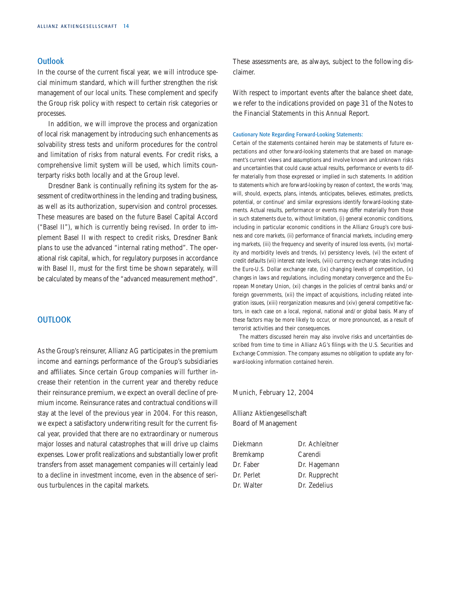# <span id="page-15-0"></span>**Outlook**

In the course of the current fiscal year, we will introduce special minimum standard, which will further strengthen the risk management of our local units. These complement and specify the Group risk policy with respect to certain risk categories or processes.

In addition, we will improve the process and organization of local risk management by introducing such enhancements as solvability stress tests and uniform procedures for the control and limitation of risks from natural events. For credit risks, a comprehensive limit system will be used, which limits counterparty risks both locally and at the Group level.

Dresdner Bank is continually refining its system for the assessment of creditworthiness in the lending and trading business, as well as its authorization, supervision and control processes. These measures are based on the future Basel Capital Accord ("Basel II"), which is currently being revised. In order to implement Basel II with respect to credit risks, Dresdner Bank plans to use the advanced "internal rating method". The operational risk capital, which, for regulatory purposes in accordance with Basel II, must for the first time be shown separately, will be calculated by means of the "advanced measurement method".

## **OUTLOOK**

As the Group's reinsurer, Allianz AG participates in the premium income and earnings performance of the Group's subsidiaries and affiliates. Since certain Group companies will further increase their retention in the current year and thereby reduce their reinsurance premium, we expect an overall decline of premium income. Reinsurance rates and contractual conditions will stay at the level of the previous year in 2004. For this reason, we expect a satisfactory underwriting result for the current fiscal year, provided that there are no extraordinary or numerous major losses and natural catastrophes that will drive up claims expenses. Lower profit realizations and substantially lower profit transfers from asset management companies will certainly lead to a decline in investment income, even in the absence of serious turbulences in the capital markets.

These assessments are, as always, subject to the following disclaimer.

With respect to important events after the balance sheet date, we refer to the indications provided on [page 31 o](#page-33-0)f the Notes to the Financial Statements in this Annual Report.

#### Cautionary Note Regarding Forward-Looking Statements:

Certain of the statements contained herein may be statements of future expectations and other forward-looking statements that are based on management's current views and assumptions and involve known and unknown risks and uncertainties that could cause actual results, performance or events to differ materially from those expressed or implied in such statements. In addition to statements which are forward-looking by reason of context, the words 'may, will, should, expects, plans, intends, anticipates, believes, estimates, predicts, potential, or continue' and similar expressions identify forward-looking statements. Actual results, performance or events may differ materially from those in such statements due to, without limitation, (i) general economic conditions, including in particular economic conditions in the Allianz Group's core business and core markets, (ii) performance of financial markets, including emerging markets, (iii) the frequency and severity of insured loss events, (iv) mortality and morbidity levels and trends, (v) persistency levels, (vi) the extent of credit defaults (vii) interest rate levels, (viii) currency exchange rates including the Euro-U.S. Dollar exchange rate, (ix) changing levels of competition, (x) changes in laws and regulations, including monetary convergence and the European Monetary Union, (xi) changes in the policies of central banks and/or foreign governments, (xii) the impact of acquisitions, including related integration issues, (xiii) reorganization measures and (xiv) general competitive factors, in each case on a local, regional, national and/or global basis. Many of these factors may be more likely to occur, or more pronounced, as a result of terrorist activities and their consequences.

The matters discussed herein may also involve risks and uncertainties described from time to time in Allianz AG's filings with the U.S. Securities and Exchange Commission. The company assumes no obligation to update any forward-looking information contained herein.

Munich, February 12, 2004

Allianz Aktiengesellschaft Board of Management

| Diekmann   | Dr. Achleitner |
|------------|----------------|
| Bremkamp   | Carendi        |
| Dr. Faber  | Dr. Hagemann   |
| Dr. Perlet | Dr. Rupprecht  |
| Dr. Walter | Dr. Zedelius   |
|            |                |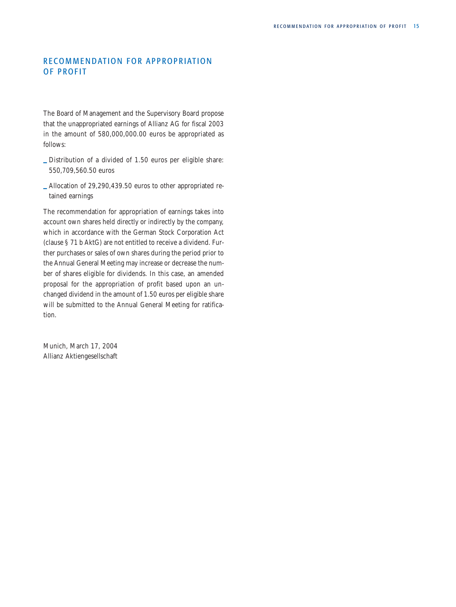# <span id="page-16-0"></span>RECOMMENDATION FOR APPROPRIATION OF PROFIT

The Board of Management and the Supervisory Board propose that the unappropriated earnings of Allianz AG for fiscal 2003 in the amount of 580,000,000.00 euros be appropriated as follows:

- **\_** Distribution of a divided of 1.50 euros per eligible share: 550,709,560.50 euros
- **\_** Allocation of 29,290,439.50 euros to other appropriated retained earnings

The recommendation for appropriation of earnings takes into account own shares held directly or indirectly by the company, which in accordance with the German Stock Corporation Act (clause § 71 b AktG) are not entitled to receive a dividend. Further purchases or sales of own shares during the period prior to the Annual General Meeting may increase or decrease the number of shares eligible for dividends. In this case, an amended proposal for the appropriation of profit based upon an unchanged dividend in the amount of 1.50 euros per eligible share will be submitted to the Annual General Meeting for ratification.

Munich, March 17, 2004 Allianz Aktiengesellschaft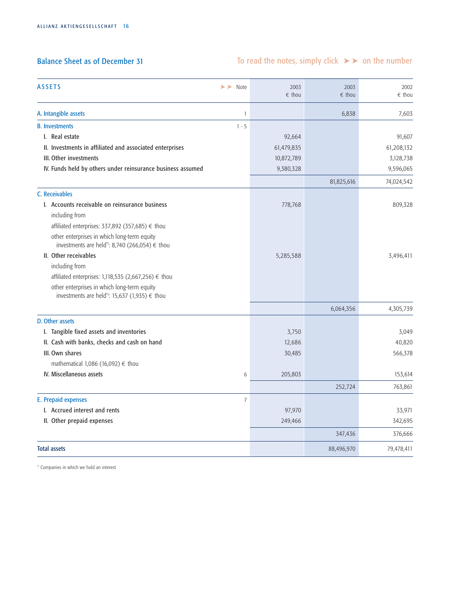# Balance Sheet as of December 31

# To read the notes, simply click  $\triangleright$  on the number

| <b>ASSETS</b><br>$\triangleright$ Note                                                       | 2003<br>$\epsilon$ thou | 2003<br>$\epsilon$ thou | 2002<br>$\epsilon$ thou |
|----------------------------------------------------------------------------------------------|-------------------------|-------------------------|-------------------------|
| A. Intangible assets<br>$\mathbf{1}$                                                         |                         | 6,838                   | 7,603                   |
| <b>B.</b> Investments<br>$1 - 5$                                                             |                         |                         |                         |
| I. Real estate                                                                               | 92,664                  |                         | 91,607                  |
| II. Investments in affiliated and associated enterprises                                     | 61,479,835              |                         | 61,208,132              |
| III. Other investments                                                                       | 10,872,789              |                         | 3,128,738               |
| IV. Funds held by others under reinsurance business assumed                                  | 9,380,328               |                         | 9,596,065               |
|                                                                                              |                         | 81,825,616              | 74,024,542              |
| C. Receivables                                                                               |                         |                         |                         |
| I. Accounts receivable on reinsurance business<br>including from                             | 778,768                 |                         | 809,328                 |
| affiliated enterprises: 337,892 (357,685) € thou                                             |                         |                         |                         |
| other enterprises in which long-term equity<br>investments are held": 8,740 (266,054) € thou |                         |                         |                         |
| II. Other receivables                                                                        | 5,285,588               |                         | 3,496,411               |
| including from                                                                               |                         |                         |                         |
| affiliated enterprises: 1,118,535 (2,667,256) € thou                                         |                         |                         |                         |
| other enterprises in which long-term equity<br>investments are held*): 15,637 (1,935) € thou |                         |                         |                         |
|                                                                                              |                         | 6,064,356               | 4,305,739               |
| D. Other assets                                                                              |                         |                         |                         |
| I. Tangible fixed assets and inventories                                                     | 3,750                   |                         | 3,049                   |
| II. Cash with banks, checks and cash on hand                                                 | 12,686                  |                         | 40,820                  |
| III. Own shares                                                                              | 30,485                  |                         | 566,378                 |
| mathematical 1,086 (16,092) $\epsilon$ thou                                                  |                         |                         |                         |
| IV. Miscellaneous assets<br>6                                                                | 205,803                 |                         | 153,614                 |
|                                                                                              |                         | 252,724                 | 763,861                 |
| E. Prepaid expenses<br>$\overline{7}$                                                        |                         |                         |                         |
| I. Accrued interest and rents                                                                | 97,970                  |                         | 33,971                  |
| II. Other prepaid expenses                                                                   | 249,466                 |                         | 342,695                 |
|                                                                                              |                         | 347,436                 | 376,666                 |
| <b>Total assets</b>                                                                          |                         | 88,496,970              | 79,478,411              |

\*) Companies in which we hold an interest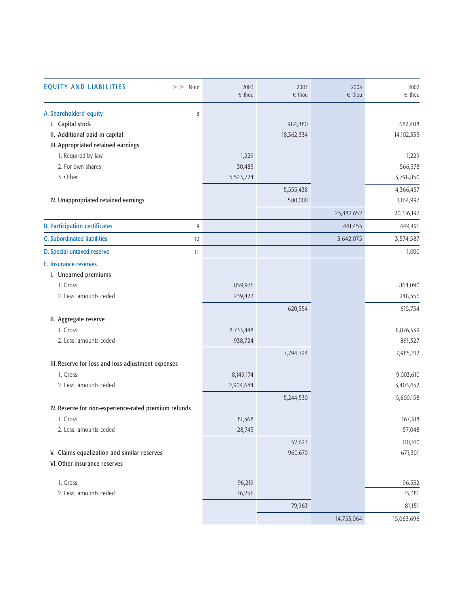| <b>EQUITY AND LIABILITIES</b><br>$\blacktriangleright\blacktriangleright$ Note | 2003<br>$\epsilon$ thou | 2003<br>$\epsilon$ thou | 2003<br>$\epsilon$ thou | 2002<br>$\epsilon$ thou |
|--------------------------------------------------------------------------------|-------------------------|-------------------------|-------------------------|-------------------------|
| A. Shareholders' equity<br>8                                                   |                         |                         |                         |                         |
| I. Capital stock                                                               |                         | 984,880                 |                         | 682,408                 |
| II. Additional paid-in capital                                                 |                         | 18,362,334              |                         | 14,102,335              |
| III. Appropriated retained earnings                                            |                         |                         |                         |                         |
| 1. Required by law                                                             | 1,229                   |                         |                         | 1,229                   |
| 2. For own shares                                                              | 30,485                  |                         |                         | 566,378                 |
| 3. Other                                                                       | 5,523,724               |                         |                         | 3,798,850               |
|                                                                                |                         | 5,555,438               |                         | 4,366,457               |
| IV. Unappropriated retained earnings                                           |                         | 580,000                 |                         | 1,164,997               |
|                                                                                |                         |                         | 25,482,652              | 20,316,197              |
| <b>B. Participation certificates</b><br>9                                      |                         |                         | 441,455                 | 449,491                 |
| <b>C.</b> Subordinated liabilities<br>10                                       |                         |                         | 3,642,075               | 3,574,587               |
| D. Special untaxed reserve<br>11                                               |                         |                         |                         | 1,000                   |
| E. Insurance reserves                                                          |                         |                         |                         |                         |
| I. Unearned premiums                                                           |                         |                         |                         |                         |
| 1. Gross                                                                       | 859,976                 |                         |                         | 864,090                 |
| 2. Less: amounts ceded                                                         | 239,422                 |                         |                         | 248,356                 |
|                                                                                |                         | 620,554                 |                         | 615,734                 |
| II. Aggregate reserve                                                          |                         |                         |                         |                         |
| 1. Gross                                                                       | 8,733,448               |                         |                         | 8,876,539               |
| 2. Less: amounts ceded                                                         | 938,724                 |                         |                         | 891,327                 |
|                                                                                |                         | 7,794,724               |                         | 7,985,212               |
| III. Reserve for loss and loss adjustment expenses                             |                         |                         |                         |                         |
| 1. Gross                                                                       | 8,149,174               |                         |                         | 9,003,610               |
| 2. Less: amounts ceded                                                         | 2,904,644               |                         |                         | 3,403,452               |
|                                                                                |                         | 5,244,530               |                         | 5,600,158               |
| IV. Reserve for non-experience-rated premium refunds                           |                         |                         |                         |                         |
| 1. Gross                                                                       | 81,368                  |                         |                         | 167,188                 |
| 2. Less: amounts ceded                                                         | 28,745                  |                         |                         | 57,048                  |
|                                                                                |                         | 52,623                  |                         | 110,140                 |
| V. Claims equalization and similar reserves                                    |                         | 960,670                 |                         | 671,301                 |
| VI. Other insurance reserves                                                   |                         |                         |                         |                         |
|                                                                                |                         |                         |                         |                         |
| 1. Gross                                                                       | 96,219                  |                         |                         | 96,532                  |
| 2. Less: amounts ceded                                                         | 16,256                  |                         |                         | 15,381                  |
|                                                                                |                         | 79,963                  |                         | 81,151                  |
|                                                                                |                         |                         | 14,753,064              | 15,063,696              |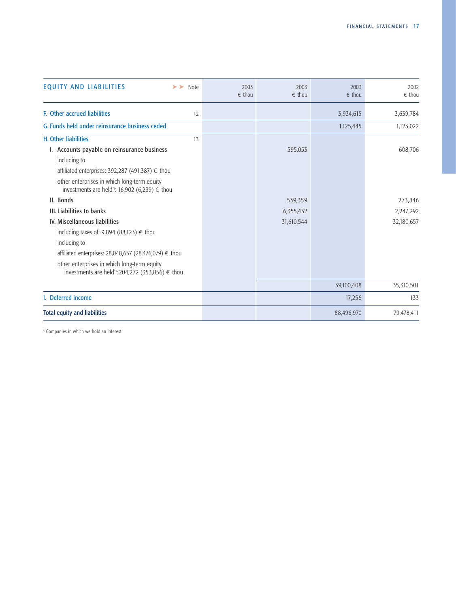| <b>EQUITY AND LIABILITIES</b><br>$\triangleright$ Note                                                                                                        | 2003<br>$\epsilon$ thou | 2003<br>$\epsilon$ thou | 2003<br>$\epsilon$ thou | 2002<br>$\epsilon$ thou |
|---------------------------------------------------------------------------------------------------------------------------------------------------------------|-------------------------|-------------------------|-------------------------|-------------------------|
| <b>F.</b> Other accrued liabilities<br>12                                                                                                                     |                         |                         | 3,934,615               | 3,639,784               |
| G. Funds held under reinsurance business ceded                                                                                                                |                         |                         | 1,125,445               | 1,123,022               |
| <b>H. Other liabilities</b><br>13                                                                                                                             |                         |                         |                         |                         |
| I. Accounts payable on reinsurance business<br>including to                                                                                                   |                         | 595,053                 |                         | 608,706                 |
| affiliated enterprises: 392,287 (491,387) € thou<br>other enterprises in which long-term equity<br>investments are held <sup>*</sup> ): 16,902 (6,239) € thou |                         |                         |                         |                         |
| II. Bonds                                                                                                                                                     |                         | 539,359                 |                         | 273,846                 |
| III. Liabilities to banks                                                                                                                                     |                         | 6,355,452               |                         | 2,247,292               |
| IV. Miscellaneous liabilities<br>including taxes of: 9,894 (88,123) $\epsilon$ thou                                                                           |                         | 31,610,544              |                         | 32,180,657              |
| including to                                                                                                                                                  |                         |                         |                         |                         |
| affiliated enterprises: 28,048,657 (28,476,079) € thou                                                                                                        |                         |                         |                         |                         |
| other enterprises in which long-term equity<br>investments are held <sup>*</sup> ): 204,272 (353,856) € thou                                                  |                         |                         |                         |                         |
|                                                                                                                                                               |                         |                         | 39,100,408              | 35,310,501              |
| I. Deferred income                                                                                                                                            |                         |                         | 17,256                  | 133                     |
| <b>Total equity and liabilities</b>                                                                                                                           |                         |                         | 88,496,970              | 79,478,411              |

\*) Companies in which we hold an interest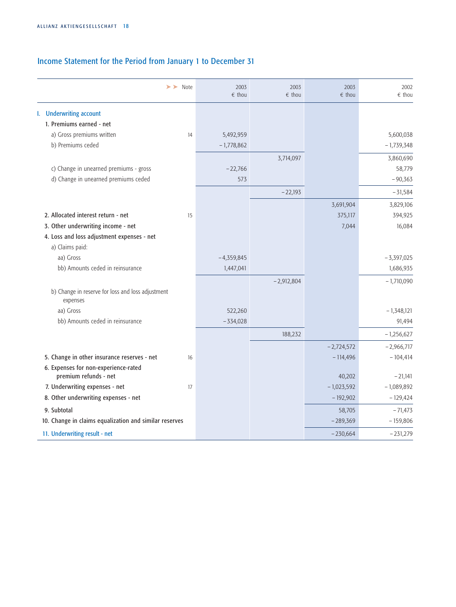# Income Statement for the Period from January 1 to December 31

| $\triangleright$ Note                                         |    | 2003<br>$\epsilon$ thou | 2003<br>$\epsilon$ thou | 2003<br>$\epsilon$ thou | 2002<br>$\epsilon$ thou |
|---------------------------------------------------------------|----|-------------------------|-------------------------|-------------------------|-------------------------|
| I. Underwriting account                                       |    |                         |                         |                         |                         |
| 1. Premiums earned - net                                      |    |                         |                         |                         |                         |
| a) Gross premiums written                                     | 14 | 5,492,959               |                         |                         | 5,600,038               |
| b) Premiums ceded                                             |    | $-1,778,862$            |                         |                         | $-1,739,348$            |
|                                                               |    |                         | 3,714,097               |                         | 3,860,690               |
| c) Change in unearned premiums - gross                        |    | $-22,766$               |                         |                         | 58,779                  |
| d) Change in unearned premiums ceded                          |    | 573                     |                         |                         | $-90,363$               |
|                                                               |    |                         | $-22,193$               |                         | $-31,584$               |
|                                                               |    |                         |                         | 3,691,904               | 3,829,106               |
| 2. Allocated interest return - net                            | 15 |                         |                         | 375,117                 | 394,925                 |
| 3. Other underwriting income - net                            |    |                         |                         | 7,044                   | 16,084                  |
| 4. Loss and loss adjustment expenses - net                    |    |                         |                         |                         |                         |
| a) Claims paid:                                               |    |                         |                         |                         |                         |
| aa) Gross                                                     |    | $-4,359,845$            |                         |                         | $-3,397,025$            |
| bb) Amounts ceded in reinsurance                              |    | 1,447,041               |                         |                         | 1,686,935               |
|                                                               |    |                         | $-2,912,804$            |                         | $-1,710,090$            |
| b) Change in reserve for loss and loss adjustment<br>expenses |    |                         |                         |                         |                         |
| aa) Gross                                                     |    | 522,260                 |                         |                         | $-1,348,121$            |
| bb) Amounts ceded in reinsurance                              |    | $-334,028$              |                         |                         | 91,494                  |
|                                                               |    |                         | 188,232                 |                         | $-1,256,627$            |
|                                                               |    |                         |                         | $-2,724,572$            | $-2,966,717$            |
| 5. Change in other insurance reserves - net                   | 16 |                         |                         | $-114,496$              | $-104,414$              |
| 6. Expenses for non-experience-rated<br>premium refunds - net |    |                         |                         | 40,202                  | $-21,141$               |
| 7. Underwriting expenses - net                                | 17 |                         |                         | $-1,023,592$            | $-1,089,892$            |
| 8. Other underwriting expenses - net                          |    |                         |                         | $-192,902$              | $-129,424$              |
| 9. Subtotal                                                   |    |                         |                         | 58,705                  | $-71,473$               |
| 10. Change in claims equalization and similar reserves        |    |                         |                         | $-289,369$              | $-159,806$              |
| 11. Underwriting result - net                                 |    |                         |                         | $-230,664$              | $-231,279$              |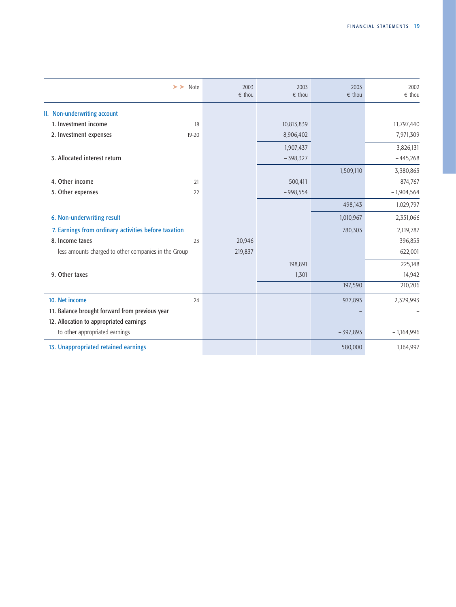|                                                      | $\triangleright$ Note | 2003<br>$\epsilon$ thou | 2003<br>$\epsilon$ thou | 2003<br>$\epsilon$ thou | 2002<br>$\epsilon$ thou |
|------------------------------------------------------|-----------------------|-------------------------|-------------------------|-------------------------|-------------------------|
| II. Non-underwriting account                         |                       |                         |                         |                         |                         |
| 1. Investment income                                 | 18                    |                         | 10,813,839              |                         | 11,797,440              |
| 2. Investment expenses                               | 19-20                 |                         | $-8,906,402$            |                         | $-7,971,309$            |
|                                                      |                       |                         | 1,907,437               |                         | 3,826,131               |
| 3. Allocated interest return                         |                       |                         | $-398,327$              |                         | $-445,268$              |
|                                                      |                       |                         |                         | 1,509,110               | 3,380,863               |
| 4. Other income                                      | 21                    |                         | 500,411                 |                         | 874,767                 |
| 5. Other expenses                                    | 22                    |                         | $-998,554$              |                         | $-1,904,564$            |
|                                                      |                       |                         |                         | $-498,143$              | $-1,029,797$            |
| 6. Non-underwriting result                           |                       |                         |                         | 1,010,967               | 2,351,066               |
| 7. Earnings from ordinary activities before taxation |                       |                         |                         | 780,303                 | 2,119,787               |
| 8. Income taxes                                      | 23                    | $-20,946$               |                         |                         | $-396,853$              |
| less amounts charged to other companies in the Group |                       | 219,837                 |                         |                         | 622,001                 |
|                                                      |                       |                         | 198,891                 |                         | 225,148                 |
| 9. Other taxes                                       |                       |                         | $-1,301$                |                         | $-14,942$               |
|                                                      |                       |                         |                         | 197,590                 | 210,206                 |
| 10. Net income                                       | 24                    |                         |                         | 977,893                 | 2,329,993               |
| 11. Balance brought forward from previous year       |                       |                         |                         |                         |                         |
| 12. Allocation to appropriated earnings              |                       |                         |                         |                         |                         |
| to other appropriated earnings                       |                       |                         |                         | $-397,893$              | $-1,164,996$            |
| 13. Unappropriated retained earnings                 |                       |                         |                         | 580,000                 | 1,164,997               |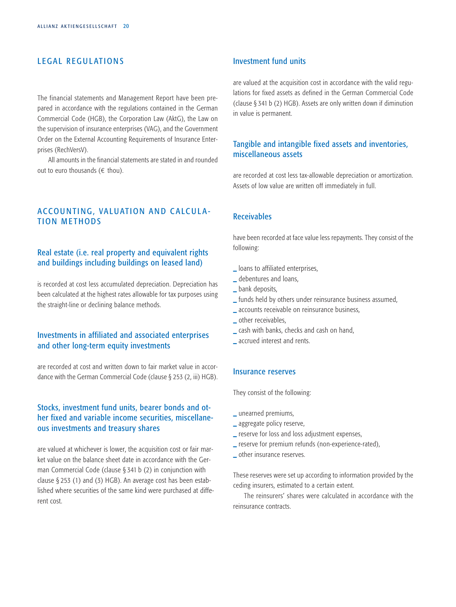# <span id="page-22-0"></span>LEGAL REGULATIONS

The financial statements and Management Report have been prepared in accordance with the regulations contained in the German Commercial Code (HGB), the Corporation Law (AktG), the Law on the supervision of insurance enterprises (VAG), and the Government Order on the External Accounting Requirements of Insurance Enterprises (RechVersV).

All amounts in the financial statements are stated in and rounded out to euro thousands  $(\epsilon \text{ thou})$ .

# ACCOUNTING, VALUATION AND CALCULA-TION METHODS

# Real estate (i.e. real property and equivalent rights and buildings including buildings on leased land)

is recorded at cost less accumulated depreciation. Depreciation has been calculated at the highest rates allowable for tax purposes using the straight-line or declining balance methods.

# Investments in affiliated and associated enterprises and other long-term equity investments

are recorded at cost and written down to fair market value in accordance with the German Commercial Code (clause § 253 (2, iii) HGB).

# Stocks, investment fund units, bearer bonds and other fixed and variable income securities, miscellaneous investments and treasury shares

are valued at whichever is lower, the acquisition cost or fair market value on the balance sheet date in accordance with the German Commercial Code (clause § 341 b (2) in conjunction with clause § 253 (1) and (3) HGB). An average cost has been established where securities of the same kind were purchased at different cost.

# Investment fund units

are valued at the acquisition cost in accordance with the valid regulations for fixed assets as defined in the German Commercial Code (clause § 341 b (2) HGB). Assets are only written down if diminution in value is permanent.

# Tangible and intangible fixed assets and inventories, miscellaneous assets

are recorded at cost less tax-allowable depreciation or amortization. Assets of low value are written off immediately in full.

# Receivables

have been recorded at face value less repayments. They consist of the following:

- **\_** loans to affiliated enterprises,
- **\_** debentures and loans,
- **\_** bank deposits,
- **\_** funds held by others under reinsurance business assumed,
- **\_** accounts receivable on reinsurance business,
- **\_** other receivables,
- **\_** cash with banks, checks and cash on hand,
- **\_** accrued interest and rents.

# Insurance reserves

They consist of the following:

- **\_** unearned premiums,
- **\_** aggregate policy reserve,
- **\_** reserve for loss and loss adjustment expenses,
- **\_** reserve for premium refunds (non-experience-rated),
- **\_** other insurance reserves.

These reserves were set up according to information provided by the ceding insurers, estimated to a certain extent.

The reinsurers' shares were calculated in accordance with the reinsurance contracts.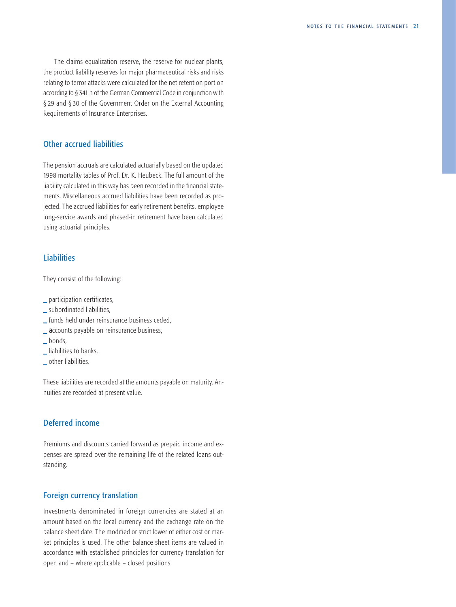The claims equalization reserve, the reserve for nuclear plants, the product liability reserves for major pharmaceutical risks and risks relating to terror attacks were calculated for the net retention portion according to § 341 h of the German Commercial Code in conjunction with § 29 and § 30 of the Government Order on the External Accounting Requirements of Insurance Enterprises.

# Other accrued liabilities

The pension accruals are calculated actuarially based on the updated 1998 mortality tables of Prof. Dr. K. Heubeck. The full amount of the liability calculated in this way has been recorded in the financial statements. Miscellaneous accrued liabilities have been recorded as projected. The accrued liabilities for early retirement benefits, employee long-service awards and phased-in retirement have been calculated using actuarial principles.

# **Liabilities**

They consist of the following:

- **\_** participation certificates,
- **\_** subordinated liabilities,
- **\_** funds held under reinsurance business ceded,
- **\_** accounts payable on reinsurance business,
- **\_** bonds,
- **\_** liabilities to banks,
- **\_** other liabilities.

These liabilities are recorded at the amounts payable on maturity. Annuities are recorded at present value.

# Deferred income

Premiums and discounts carried forward as prepaid income and expenses are spread over the remaining life of the related loans outstanding.

# Foreign currency translation

Investments denominated in foreign currencies are stated at an amount based on the local currency and the exchange rate on the balance sheet date. The modified or strict lower of either cost or market principles is used. The other balance sheet items are valued in accordance with established principles for currency translation for open and – where applicable – closed positions.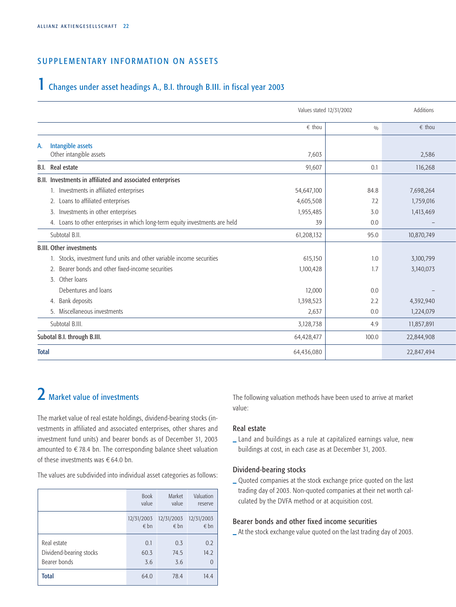# <span id="page-24-0"></span>SUPPLEMENTARY INFORMATION ON ASSETS

# 1 Changes under asset headings A., B.I. through B.III. in fiscal year 2003

|                                                                              | Values stated 12/31/2002 | Additions |                 |
|------------------------------------------------------------------------------|--------------------------|-----------|-----------------|
|                                                                              | $\epsilon$ thou          | 0/0       | $\epsilon$ thou |
| Intangible assets<br>А.<br>Other intangible assets                           | 7,603                    |           | 2,586           |
| Real estate<br><b>B.I.</b>                                                   | 91,607                   | 0.1       | 116,268         |
| B.II. Investments in affiliated and associated enterprises                   |                          |           |                 |
| 1. Investments in affiliated enterprises                                     | 54,647,100               | 84.8      | 7,698,264       |
| Loans to affiliated enterprises<br>2.                                        | 4,605,508                | 7.2       | 1,759,016       |
| Investments in other enterprises<br>3.                                       | 1,955,485                | 3.0       | 1,413,469       |
| 4. Loans to other enterprises in which long-term equity investments are held | 39                       | 0.0       |                 |
| Subtotal B.II.                                                               | 61,208,132               | 95.0      | 10,870,749      |
| <b>B.III. Other investments</b>                                              |                          |           |                 |
| 1. Stocks, investment fund units and other variable income securities        | 615,150                  | 1.0       | 3,100,799       |
| Bearer bonds and other fixed-income securities                               | 1,100,428                | 1.7       | 3,140,073       |
| 3. Other loans                                                               |                          |           |                 |
| Debentures and loans                                                         | 12,000                   | 0.0       |                 |
| 4. Bank deposits                                                             | 1,398,523                | 2.2       | 4,392,940       |
| 5. Miscellaneous investments                                                 | 2,637                    | 0.0       | 1,224,079       |
| Subtotal B.III.                                                              | 3,128,738                | 4.9       | 11,857,891      |
| Subotal B.I. through B.III.                                                  | 64,428,477               | 100.0     | 22,844,908      |
| <b>Total</b>                                                                 | 64,436,080               |           | 22,847,494      |

# 2 Market value of investments

The market value of real estate holdings, dividend-bearing stocks (investments in affiliated and associated enterprises, other shares and investment fund units) and bearer bonds as of December 31, 2003 amounted to  $\epsilon$  78.4 bn. The corresponding balance sheet valuation of these investments was  $\epsilon$  64.0 bn.

The values are subdivided into individual asset categories as follows:

|                         | <b>Book</b>   | Market     | Valuation  |
|-------------------------|---------------|------------|------------|
|                         | value         | value      | reserve    |
|                         | 12/31/2003    | 12/31/2003 | 12/31/2003 |
|                         | $\epsilon$ bn | $\n  6$ bn | $\n  6$ bn |
| Real estate             | 0.1           | 0.3        | 0.2        |
| Dividend-bearing stocks | 60.3          | 74.5       | 14.2       |
| Bearer bonds            | 3.6           | 3.6        | $\Omega$   |
| <b>Total</b>            | 64.0          | 78.4       | 14.4       |

The following valuation methods have been used to arrive at market value:

# Real estate

**\_** Land and buildings as a rule at capitalized earnings value, new buildings at cost, in each case as at December 31, 2003.

# Dividend-bearing stocks

**\_** Quoted companies at the stock exchange price quoted on the last trading day of 2003. Non-quoted companies at their net worth calculated by the DVFA method or at acquisition cost.

# Bearer bonds and other fixed income securities

**\_** At the stock exchange value quoted on the last trading day of 2003.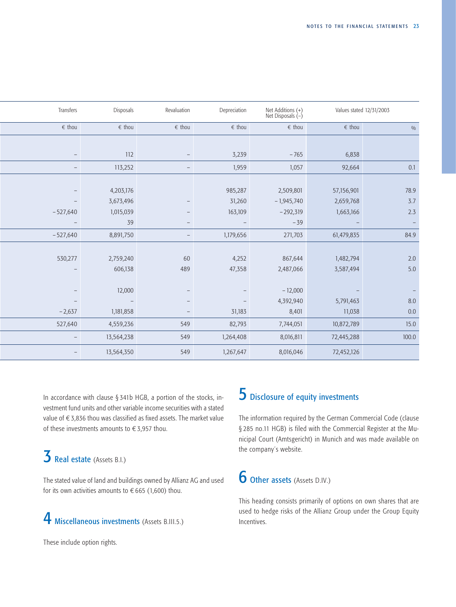<span id="page-25-0"></span>

| Transfers         | Disposals       | Revaluation              | Depreciation    | Net Additions (+)<br>Net Disposals (-) | Values stated 12/31/2003 |         |
|-------------------|-----------------|--------------------------|-----------------|----------------------------------------|--------------------------|---------|
| $\epsilon$ thou   | $\epsilon$ thou | $\epsilon$ thou          | $\epsilon$ thou | $\epsilon$ thou                        | $\epsilon$ thou          | $0/0$   |
|                   |                 |                          |                 |                                        |                          |         |
|                   | 112             |                          | 3,239           | $-765$                                 | 6,838                    |         |
|                   | 113,252         | -                        | 1,959           | 1,057                                  | 92,664                   | 0.1     |
|                   |                 |                          |                 |                                        |                          |         |
|                   | 4,203,176       |                          | 985,287         | 2,509,801                              | 57,156,901               | 78.9    |
|                   | 3,673,496       |                          | 31,260          | $-1,945,740$                           | 2,659,768                | $3.7$   |
| $-527,640$        | 1,015,039       |                          | 163,109         | $-292,319$                             | 1,663,166                | 2.3     |
|                   | 39              |                          |                 | $-39$                                  |                          |         |
| $-527,640$        | 8,891,750       | $\overline{\phantom{0}}$ | 1,179,656       | 271,703                                | 61,479,835               | 84.9    |
|                   |                 |                          |                 |                                        |                          |         |
| 530,277           | 2,759,240       | 60                       | 4,252           | 867,644                                | 1,482,794                | $2.0\,$ |
|                   | 606,138         | 489                      | 47,358          | 2,487,066                              | 3,587,494                | $5.0\,$ |
|                   |                 |                          |                 |                                        |                          |         |
|                   | 12,000          |                          |                 | $-12,000$                              |                          |         |
|                   |                 |                          |                 | 4,392,940                              | 5,791,463                | $8.0\,$ |
| $-2,637$          | 1,181,858       |                          | 31,183          | 8,401                                  | 11,038                   | $0.0\,$ |
| 527,640           | 4,559,236       | 549                      | 82,793          | 7,744,051                              | 10,872,789               | 15.0    |
| $\qquad \qquad -$ | 13,564,238      | 549                      | 1,264,408       | 8,016,811                              | 72,445,288               | 100.0   |
| -                 | 13,564,350      | 549                      | 1,267,647       | 8,016,046                              | 72,452,126               |         |

In accordance with clause § 341b HGB, a portion of the stocks, investment fund units and other variable income securities with a stated value of  $\epsilon$  3,836 thou was classified as fixed assets. The market value of these investments amounts to  $\epsilon$  3,957 thou.

# $\overline{3}$  Real estate (Assets B.I.)

The stated value of land and buildings owned by Allianz AG and used for its own activities amounts to  $\epsilon$  665 (1,600) thou.

# 4 Miscellaneous investments (Assets B.III.5.)

These include option rights.

# **5** Disclosure of equity investments

The information required by the German Commercial Code (clause § 285 no.11 HGB) is filed with the Commercial Register at the Municipal Court (Amtsgericht) in Munich and was made available on the company´s website.

# 6 Other assets (Assets D.IV.)

This heading consists primarily of options on own shares that are used to hedge risks of the Allianz Group under the Group Equity Incentives.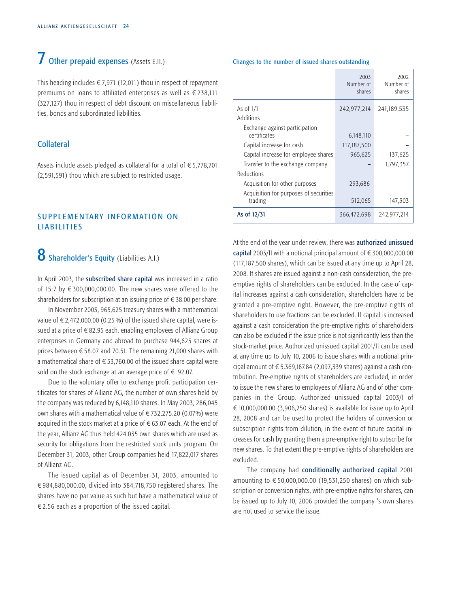# <span id="page-26-0"></span>7 Other prepaid expenses (Assets E.II.)

This heading includes  $\epsilon$  7,971 (12,011) thou in respect of repayment premiums on loans to affiliated enterprises as well as  $\epsilon$  238,111 (327,127) thou in respect of debt discount on miscellaneous liabilities, bonds and subordinated liabilities.

# Collateral

Assets include assets pledged as collateral for a total of  $\epsilon$  5,778,701 (2,591,591) thou which are subject to restricted usage.

# SUPPLEMENTARY INFORMATION ON LIABILITIES

# 8 Shareholder's Equity (Liabilities A.I.)

In April 2003, the subscribed share capital was increased in a ratio of 15:7 by  $\epsilon$  300,000,000.00. The new shares were offered to the shareholders for subscription at an issuing price of  $\epsilon$  38.00 per share.

In November 2003, 965,625 treasury shares with a mathematical value of  $\epsilon$  2,472,000.00 (0.25 %) of the issued share capital, were issued at a price of  $\epsilon$  82.95 each, enabling employees of Allianz Group enterprises in Germany and abroad to purchase 944,625 shares at prices between  $\epsilon$  58.07 and 70.51. The remaining 21,000 shares with a mathematical share of  $\epsilon$  53,760.00 of the issued share capital were sold on the stock exchange at an average price of  $\epsilon$  92.07.

Due to the voluntary offer to exchange profit participation certificates for shares of Allianz AG, the number of own shares held by the company was reduced by 6,148,110 shares. In May 2003, 286,045 own shares with a mathematical value of  $\epsilon$  732,275.20 (0.07%) were acquired in the stock market at a price of  $\epsilon$  63.07 each. At the end of the year, Allianz AG thus held 424.035 own shares which are used as security for obligations from the restricted stock units program. On December 31, 2003, other Group companies held 17,822,017 shares of Allianz AG.

The issued capital as of December 31, 2003, amounted to  $\epsilon$ 984,880,000.00, divided into 384,718,750 registered shares. The shares have no par value as such but have a mathematical value of  $\epsilon$  2.56 each as a proportion of the issued capital.

#### Changes to the number of issued shares outstanding

|                                        | 2003<br>Number of<br>shares | 2002<br>Number of<br>shares |
|----------------------------------------|-----------------------------|-----------------------------|
| As of $1/1$                            | 242,977,214                 | 241,189,535                 |
| Additions                              |                             |                             |
| Exchange against participation         |                             |                             |
| certificates                           | 6,148,110                   |                             |
| Capital increase for cash              | 117,187,500                 |                             |
| Capital increase for employee shares   | 965,625                     | 137,625                     |
| Transfer to the exchange company       |                             | 1,797,357                   |
| Reductions                             |                             |                             |
| Acquisition for other purposes         | 293,686                     |                             |
| Acquisition for purposes of securities |                             |                             |
| trading                                | 512,065                     | 147,303                     |
| As of 12/31                            | 366,472,698                 | 242,977,214                 |

At the end of the year under review, there was authorized unissued capital 2003/II with a notional principal amount of  $\epsilon$  300,000,000.00 (117,187,500 shares), which can be issued at any time up to April 28, 2008. If shares are issued against a non-cash consideration, the preemptive rights of shareholders can be excluded. In the case of capital increases against a cash consideration, shareholders have to be granted a pre-emptive right. However, the pre-emptive rights of shareholders to use fractions can be excluded. If capital is increased against a cash consideration the pre-emptive rights of shareholders can also be excluded if the issue price is not significantly less than the stock-market price. Authorized unissued capital 2001/II can be used at any time up to July 10, 2006 to issue shares with a notional principal amount of  $\epsilon$  5,369,187.84 (2,097,339 shares) against a cash contribution. Pre-emptive rights of shareholders are excluded, in order to issue the new shares to employees of Allianz AG and of other companies in the Group. Authorized unissued capital 2003/I of  $\in$  10,000,000.00 (3,906,250 shares) is available for issue up to April 28, 2008 and can be used to protect the holders of conversion or subscription rights from dilution, in the event of future capital increases for cash by granting them a pre-emptive right to subscribe for new shares. To that extent the pre-emptive rights of shareholders are excluded.

The company had conditionally authorized capital 2001 amounting to  $\epsilon$  50,000,000.00 (19,531,250 shares) on which subscription or conversion rights, with pre-emptive rights for shares, can be issued up to July 10, 2006 provided the company 's own shares are not used to service the issue.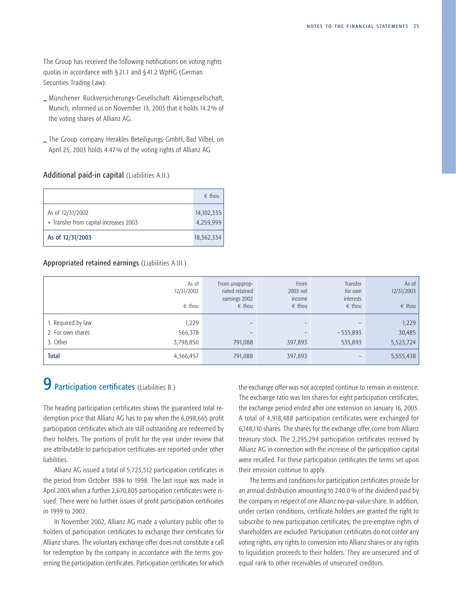<span id="page-27-0"></span>The Group has received the following notifications on voting rights quotas in accordance with § 21.1 and § 41.2 WpHG (German Securities Trading Law):

- **\_** Münchener Rückversicherungs-Gesellschaft Aktiengesellschaft, Munich, informed us on November 13, 2003 that it holds 14.2 % of the voting shares of Allianz AG.
- **\_** The Group company Herakles Beteiligungs-GmbH, Bad Vilbel, on April 25, 2003 holds 4.47 % of the voting rights of Allianz AG.

# Additional paid-in capital (Liabilities A.II.)

|                                                            | $\epsilon$ thou         |
|------------------------------------------------------------|-------------------------|
| As of 12/31/2002<br>+ Transfer from capital increases 2003 | 14,102,335<br>4,259,999 |
| As of 12/31/2003                                           | 18,362,334              |

#### Appropriated retained earnings (Liabilities A.III.)

|                    | As of<br>12/31/2002<br>$\epsilon$ thou | From unapprop-<br>riated retained<br>earnings 2002<br>$\epsilon$ thou | From<br>2003 net<br>income<br>$\epsilon$ thou | Transfer<br>for own<br>interests<br>$\epsilon$ thou | As of<br>12/31/2003<br>$\epsilon$ thou |
|--------------------|----------------------------------------|-----------------------------------------------------------------------|-----------------------------------------------|-----------------------------------------------------|----------------------------------------|
| 1. Required by law | 1,229                                  |                                                                       |                                               |                                                     | 1,229                                  |
| 2. For own shares  | 566,378                                |                                                                       |                                               | $-535,893$                                          | 30,485                                 |
| 3. Other           | 3,798,850                              | 791,088                                                               | 397,893                                       | 535,893                                             | 5,523,724                              |
| <b>Total</b>       | 4,366,457                              | 791,088                                                               | 397,893                                       |                                                     | 5,555,438                              |

# 9 Participation certificates (Liabilities B.)

The heading participation certificates shows the guaranteed total redemption price that Allianz AG has to pay when the 6,098,665 profit participation certificates which are still outstanding are redeemed by their holders. The portions of profit for the year under review that are attributable to participation certificates are reported under other liabilities.

Allianz AG issued a total of 5,723,512 participation certificates in the period from October 1986 to 1998. The last issue was made in April 2003 when a further 2,670,805 participation certificates were issued. There were no further issues of profit participation certificates in 1999 to 2002.

In November 2002, Allianz AG made a voluntary public offer to holders of participation certificates to exchange their certificates for Allianz shares. The voluntary exchange offer does not constitute a call for redemption by the company in accordance with the terms governing the participation certificates. Participation certificates for which the exchange offer was not accepted continue to remain in existence. The exchange ratio was ten shares for eight participation certificates; the exchange period ended after one extension on January 16, 2003. A total of 4,918,488 participation certificates were exchanged for 6,148,110 shares. The shares for the exchange offer come from Allianz treasury stock. The 2,295,294 participation certificates received by Allianz AG in connection with the increase of the participation capital were recalled. For these participation certificates the terms set upon their emission continue to apply.

The terms and conditions for participation certificates provide for an annual distribution amounting to 240.0 % of the dividend paid by the company in respect of one Allianz no-par-value share. In addition, under certain conditions, certificate holders are granted the right to subscribe to new participation certificates; the pre-emptive rights of shareholders are excluded. Participation certificates do not confer any voting rights, any rights to conversion into Allianz shares or any rights to liquidation proceeds to their holders. They are unsecured and of equal rank to other receivables of unsecured creditors.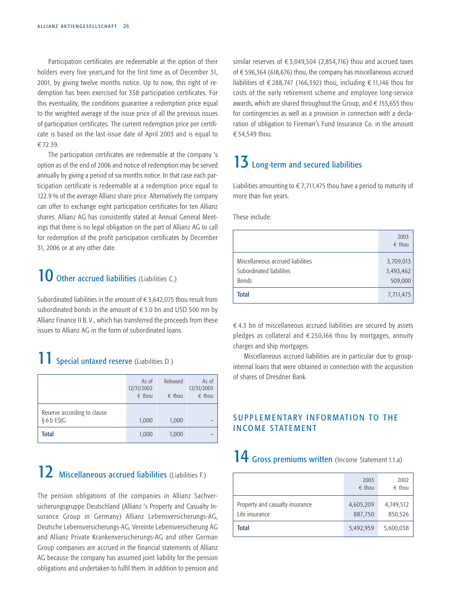<span id="page-28-0"></span>Participation certificates are redeemable at the option of their holders every five years,and for the first time as of December 31, 2001, by giving twelve months notice. Up to now, this right of redemption has been exercised for 358 participation certificates. For this eventuality, the conditions guarantee a redemption price equal to the weighted average of the issue price of all the previous issues of participation certificates. The current redemption price per certificate is based on the last issue date of April 2003 and is equal to  $£72.39.$ 

The participation certificates are redeemable at the company 's option as of the end of 2006 and notice of redemption may be served annually by giving a period of six months notice. In that case each participation certificate is redeemable at a redemption price equal to 122.9 % of the average Allianz share price. Alternatively the company can offer to exchange eight participation certificates for ten Allianz shares. Allianz AG has consistently stated at Annual General Meetings that there is no legal obligation on the part of Allianz AG to call for redemption of the profit participation certificates by December 31, 2006 or at any other date.

# 10 Other accrued liabilities (Liabilities C.)

Subordinated liabilities in the amount of  $\epsilon$  3,642,075 thou result from subordinated bonds in the amount of  $\epsilon$ 3.0 bn and USD 500 mn by Allianz Finance II B. V., which has transferred the proceeds from these issues to Allianz AG in the form of subordinated loans.

# 11 Special untaxed reserve (Liabilities D.)

|                                           | As of<br>12/31/2002<br>$\epsilon$ thou | Released<br>$\epsilon$ thou | As of<br>12/31/2003<br>$\epsilon$ thou |
|-------------------------------------------|----------------------------------------|-----------------------------|----------------------------------------|
| Reserve according to clause<br>§ 6 b EStG | 1,000                                  | 1,000                       |                                        |
| <b>Total</b>                              | 1,000                                  | 1,000                       |                                        |

# 12 Miscellaneous accrued liabilities (Liabilities F.)

The pension obligations of the companies in Allianz Sachversicherungsgruppe Deutschland (Allianz 's Property and Casualty Insurance Group in Germany) Allianz Lebensversicherungs-AG, Deutsche Lebensversicherungs-AG, Vereinte Lebensversicherung AG and Allianz Private Krankenversicherungs-AG and other German Group companies are accrued in the financial statements of Allianz AG because the company has assumed joint liability for the pension obligations and undertaken to fulfil them. In addition to pension and

similar reserves of  $\epsilon$  3,049,504 (2,854,716) thou and accrued taxes of  $\epsilon$  596,364 (618,676) thou, the company has miscellaneous accrued liabilities of  $\epsilon$  288,747 (166,392) thou, including  $\epsilon$  11,146 thou for costs of the early retirement scheme and employee long-service awards, which are shared throughout the Group, and  $\epsilon$  155,655 thou for contingencies as well as a provision in connection with a declaration of obligation to Fireman's Fund Insurance Co. in the amount € 54.549 thou.

# 13 Long-term and secured liabilities

Liabilities amounting to  $\epsilon$  7,711,475 thou have a period to maturity of more than five years.

These include:

|                                                                               | 2003<br>$\epsilon$ thou           |
|-------------------------------------------------------------------------------|-----------------------------------|
| Miscellaneous accrued liabilities<br>Subordinated liabilities<br><b>Bonds</b> | 3,709,013<br>3,493,462<br>509,000 |
| <b>Total</b>                                                                  | 7,711,475                         |

 $€4.3$  bn of miscellaneous accrued liabilities are secured by assets pledges as collateral and  $\epsilon$  250,166 thou by mortgages, annuity charges and ship mortgages.

Miscellaneous accrued liabilities are in particular due to groupinternal loans that were obtained in connection with the acquisition of shares of Dresdner Bank.

# SUPPLEMENTARY INFORMATION TO THE INCOME STATEMENT

# 14 Gross premiums written (Income Statement I.1.a)

|                                                   | 2003<br>$\epsilon$ thou | 2002<br>$\epsilon$ thou |
|---------------------------------------------------|-------------------------|-------------------------|
| Property and casualty insurance<br>Life insurance | 4,605,209<br>887,750    | 4,749,512<br>850,526    |
| <b>Total</b>                                      | 5,492,959               | 5,600,038               |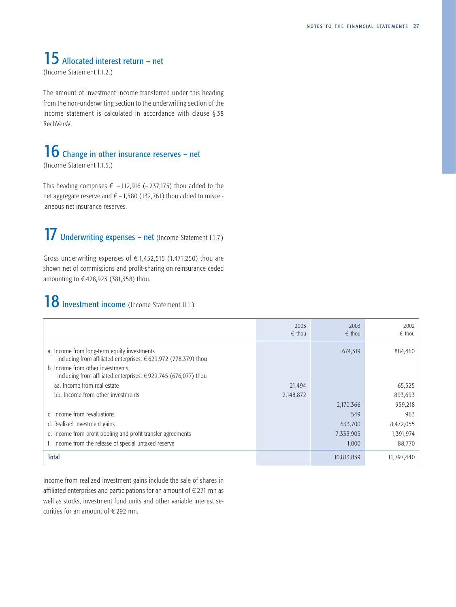# <span id="page-29-0"></span>15 Allocated interest return – net

(Income Statement I.1.2.)

The amount of investment income transferred under this heading from the non-underwriting section to the underwriting section of the income statement is calculated in accordance with clause § 38 RechVersV.

# 16 Change in other insurance reserves - net

(Income Statement I.1.5.)

This heading comprises  $\epsilon$  – 112,916 (–237,175) thou added to the net aggregate reserve and  $\epsilon$  – 1,580 (132,761) thou added to miscellaneous net insurance reserves.

# 17 Underwriting expenses – net (Income Statement I.1.7.)

Gross underwriting expenses of  $\epsilon$  1,452,515 (1,471,250) thou are shown net of commissions and profit-sharing on reinsurance ceded amounting to  $\in$  428,923 (381,358) thou.

# 18 Investment income (Income Statement II.1.)

|                                                                                                                                                                                                                               | 2003<br>$\epsilon$ thou | 2003<br>$\epsilon$ thou | 2002<br>$\epsilon$ thou |
|-------------------------------------------------------------------------------------------------------------------------------------------------------------------------------------------------------------------------------|-------------------------|-------------------------|-------------------------|
| a. Income from long-term equity investments<br>including from affiliated enterprises: €629,972 (778,379) thou<br>b. Income from other investments<br>including from affiliated enterprises: $\epsilon$ 929,745 (676,077) thou |                         | 674,319                 | 884,460                 |
| aa. Income from real estate                                                                                                                                                                                                   | 21,494                  |                         | 65,525                  |
| bb. Income from other investments                                                                                                                                                                                             | 2,148,872               |                         | 893,693                 |
|                                                                                                                                                                                                                               |                         | 2,170,366               | 959,218                 |
| c. Income from revaluations                                                                                                                                                                                                   |                         | 549                     | 963                     |
| d. Realized investment gains                                                                                                                                                                                                  |                         | 633,700                 | 8,472,055               |
| e. Income from profit pooling and profit transfer agreements                                                                                                                                                                  |                         | 7,333,905               | 1,391,974               |
| f. Income from the release of special untaxed reserve                                                                                                                                                                         |                         | 1,000                   | 88,770                  |
| <b>Total</b>                                                                                                                                                                                                                  |                         | 10,813,839              | 11,797,440              |

Income from realized investment gains include the sale of shares in affiliated enterprises and participations for an amount of  $\epsilon$  271 mn as well as stocks, investment fund units and other variable interest securities for an amount of  $E$  292 mn.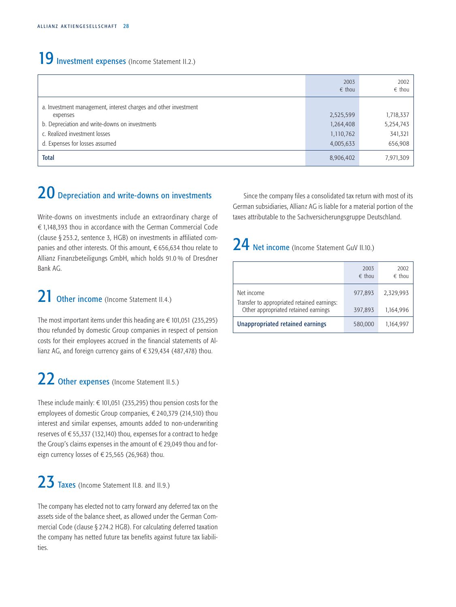# <span id="page-30-0"></span>19 Investment expenses (Income Statement II.2.)

|                                                                                                                                                                                                  | 2003<br>$\epsilon$ thou                          | 2002<br>$\epsilon$ thou                      |
|--------------------------------------------------------------------------------------------------------------------------------------------------------------------------------------------------|--------------------------------------------------|----------------------------------------------|
| a. Investment management, interest charges and other investment<br>expenses<br>b. Depreciation and write-downs on investments<br>c. Realized investment losses<br>d. Expenses for losses assumed | 2,525,599<br>1,264,408<br>1,110,762<br>4,005,633 | 1,718,337<br>5,254,743<br>341,321<br>656,908 |
| <b>Total</b>                                                                                                                                                                                     | 8,906,402                                        | 7,971,309                                    |

# 20 Depreciation and write-downs on investments

Write-downs on investments include an extraordinary charge of  $\epsilon$  1,148,393 thou in accordance with the German Commercial Code (clause § 253.2, sentence 3, HGB) on investments in affiliated companies and other interests. Of this amount,  $\epsilon$  656,634 thou relate to Allianz Finanzbeteiligungs GmbH, which holds 91.0 % of Dresdner Bank AG.

# 21 Other income (Income Statement II.4.)

The most important items under this heading are  $\epsilon$  101,051 (235,295) thou refunded by domestic Group companies in respect of pension costs for their employees accrued in the financial statements of Allianz AG, and foreign currency gains of  $\epsilon$  329,434 (487,478) thou.

# 22 Other expenses (Income Statement II.5.)

These include mainly:  $\in$  101,051 (235,295) thou pension costs for the employees of domestic Group companies,  $\epsilon$  240,379 (214,510) thou interest and similar expenses, amounts added to non-underwriting reserves of  $\epsilon$  55,337 (132,140) thou, expenses for a contract to hedge the Group's claims expenses in the amount of  $\epsilon$  29,049 thou and foreign currency losses of  $\epsilon$  25,565 (26,968) thou.

# 23 Taxes (Income Statement II.8. and II.9.)

The company has elected not to carry forward any deferred tax on the assets side of the balance sheet, as allowed under the German Commercial Code (clause § 274.2 HGB). For calculating deferred taxation the company has netted future tax benefits against future tax liabilities.

Since the company files a consolidated tax return with most of its German subsidiaries, Allianz AG is liable for a material portion of the taxes attributable to the Sachversicherungsgruppe Deutschland.

# 24 Net income (Income Statement GuV II.10.)

|                                                                                                   | 2003<br>$\epsilon$ thou | 2002<br>$\epsilon$ thou |
|---------------------------------------------------------------------------------------------------|-------------------------|-------------------------|
| Net income<br>Transfer to appropriated retained earnings:<br>Other appropriated retained earnings | 977.893<br>397,893      | 2,329,993<br>1,164,996  |
| Unappropriated retained earnings                                                                  | 580,000                 | 1,164,997               |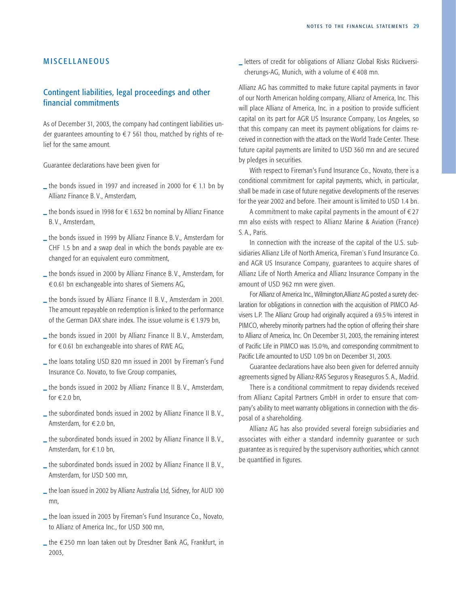## <span id="page-31-0"></span>**MISCELLANEOUS**

# Contingent liabilities, legal proceedings and other financial commitments

As of December 31, 2003, the company had contingent liabilities under guarantees amounting to  $\epsilon$  7 561 thou, matched by rights of relief for the same amount.

Guarantee declarations have been given for

- $\_$  the bonds issued in 1997 and increased in 2000 for  $∈ 1.1$  bn by Allianz Finance B. V., Amsterdam,
- **\_ the bonds issued in 1998 for €1.632 bn nominal by Allianz Finance** B. V., Amsterdam,
- **\_** the bonds issued in 1999 by Allianz Finance B. V., Amsterdam for CHF 1.5 bn and a swap deal in which the bonds payable are exchanged for an equivalent euro commitment,
- **\_** the bonds issued in 2000 by Allianz Finance B. V., Amsterdam, for  $\epsilon$  0.61 bn exchangeable into shares of Siemens AG,
- **\_** the bonds issued by Allianz Finance II B. V., Amsterdam in 2001. The amount repayable on redemption is linked to the performance of the German DAX share index. The issue volume is  $\epsilon$  1.979 bn,
- **\_** the bonds issued in 2001 by Allianz Finance II B. V., Amsterdam, for  $\epsilon$  0.61 bn exchangeable into shares of RWE AG,
- **\_** the loans totaling USD 820 mn issued in 2001 by Fireman's Fund Insurance Co. Novato, to five Group companies,
- **\_** the bonds issued in 2002 by Allianz Finance II B. V., Amsterdam, for  $\in$  2.0 bn,
- **\_** the subordinated bonds issued in 2002 by Allianz Finance II B. V., Amsterdam, for €2.0 bn,
- **\_** the subordinated bonds issued in 2002 by Allianz Finance II B. V., Amsterdam, for  $\in$  1.0 bn,
- **\_** the subordinated bonds issued in 2002 by Allianz Finance II B. V., Amsterdam, for USD 500 mn,
- **\_** the loan issued in 2002 by Allianz Australia Ltd, Sidney, for AUD 100 mn,
- **\_** the loan issued in 2003 by Fireman's Fund Insurance Co., Novato, to Allianz of America Inc., for USD 300 mn,
- **\_** the ¤250 mn loan taken out by Dresdner Bank AG, Frankfurt, in 2003,

**\_** letters of credit for obligations of Allianz Global Risks Rückversicherungs-AG, Munich, with a volume of  $\epsilon$  408 mn.

Allianz AG has committed to make future capital payments in favor of our North American holding company, Allianz of America, Inc. This will place Allianz of America, Inc. in a position to provide sufficient capital on its part for AGR US Insurance Company, Los Angeles, so that this company can meet its payment obligations for claims received in connection with the attack on the World Trade Center. These future capital payments are limited to USD 360 mn and are secured by pledges in securities.

With respect to Fireman's Fund Insurance Co., Novato, there is a conditional commitment for capital payments, which, in particular, shall be made in case of future negative developments of the reserves for the year 2002 and before. Their amount is limited to USD 1.4 bn.

A commitment to make capital payments in the amount of  $\epsilon$  27 mn also exists with respect to Allianz Marine & Aviation (France) S. A., Paris.

In connection with the increase of the capital of the U.S. subsidiaries Allianz Life of North America, Fireman`s Fund Insurance Co. and AGR US Insurance Company, guarantees to acquire shares of Allianz Life of North America and Allianz Insurance Company in the amount of USD 962 mn were given.

For Allianz of America Inc., Wilmington,Allianz AG posted a surety declaration for obligations in connection with the acquisition of PIMCO Advisers L.P. The Allianz Group had originally acquired a 69.5 % interest in PIMCO, whereby minority partners had the option of offering their share to Allianz of America, Inc. On December 31, 2003, the remaining interest of Pacific Life in PIMCO was 15.0 %, and corresponding commitment to Pacific Life amounted to USD 1.09 bn on December 31, 2003.

Guarantee declarations have also been given for deferred annuity agreements signed by Allianz-RAS Seguros y Reaseguros S. A., Madrid.

There is a conditional commitment to repay dividends received from Allianz Capital Partners GmbH in order to ensure that company's ability to meet warranty obligations in connection with the disposal of a shareholding.

Allianz AG has also provided several foreign subsidiaries and associates with either a standard indemnity guarantee or such guarantee as is required by the supervisory authorities, which cannot be quantified in figures.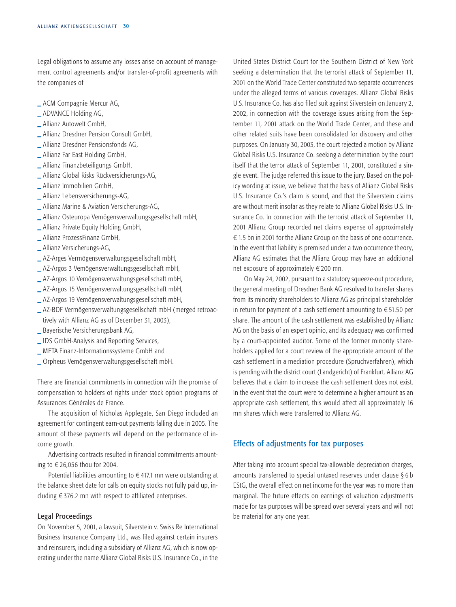Legal obligations to assume any losses arise on account of management control agreements and/or transfer-of-profit agreements with the companies of

- **\_** ACM Compagnie Mercur AG,
- **\_** ADVANCE Holding AG,
- **\_** Allianz Autowelt GmbH,
- **\_** Allianz Dresdner Pension Consult GmbH,
- **\_** Allianz Dresdner Pensionsfonds AG,
- **\_** Allianz Far East Holding GmbH,
- **\_** Allianz Finanzbeteiligungs GmbH,
- **\_** Allianz Global Risks Rückversicherungs-AG,
- **\_** Allianz Immobilien GmbH,
- **\_** Allianz Lebensversicherungs-AG,
- **\_** Allianz Marine & Aviation Versicherungs-AG,
- **\_** Allianz Osteuropa Vemögensverwaltungsgesellschaft mbH,
- **\_** Allianz Private Equity Holding GmbH,
- **\_** Allianz ProzessFinanz GmbH,
- **\_** Allianz Versicherungs-AG,
- **\_** AZ-Arges Vermögensverwaltungsgesellschaft mbH,
- **\_** AZ-Argos 3 Vemögensverwaltungsgesellschaft mbH,
- **\_** AZ-Argos 10 Vemögensverwaltungsgesellschaft mbH,
- **\_** AZ-Argos 15 Vemögensverwaltungsgesellschaft mbH,
- **\_** AZ-Argos 19 Vemögensverwaltungsgesellschaft mbH,
- **\_** AZ-BDF Vermögensverwaltungsgesellschaft mbH (merged retroactively with Allianz AG as of December 31, 2003),
- **\_** Bayerische Versicherungsbank AG,
- **\_** IDS GmbH-Analysis and Reporting Services,
- **\_** META Finanz-Informationssysteme GmbH and
- **\_** Orpheus Vemögensverwaltungsgesellschaft mbH.

There are financial commitments in connection with the promise of compensation to holders of rights under stock option programs of Assurances Générales de France.

The acquisition of Nicholas Applegate, San Diego included an agreement for contingent earn-out payments falling due in 2005. The amount of these payments will depend on the performance of income growth.

Advertising contracts resulted in financial commitments amounting to  $\epsilon$  26,056 thou for 2004.

Potential liabilities amounting to  $\epsilon$  417.1 mn were outstanding at the balance sheet date for calls on equity stocks not fully paid up, including  $\epsilon$  376.2 mn with respect to affiliated enterprises.

# Legal Proceedings

On November 5, 2001, a lawsuit, Silverstein v. Swiss Re International Business Insurance Company Ltd., was filed against certain insurers and reinsurers, including a subsidiary of Allianz AG, which is now operating under the name Allianz Global Risks U.S. Insurance Co., in the United States District Court for the Southern District of New York seeking a determination that the terrorist attack of September 11, 2001 on the World Trade Center constituted two separate occurrences under the alleged terms of various coverages. Allianz Global Risks U.S. Insurance Co. has also filed suit against Silverstein on January 2, 2002, in connection with the coverage issues arising from the September 11, 2001 attack on the World Trade Center, and these and other related suits have been consolidated for discovery and other purposes. On January 30, 2003, the court rejected a motion by Allianz Global Risks U.S. Insurance Co. seeking a determination by the court itself that the terror attack of September 11, 2001, constituted a single event. The judge referred this issue to the jury. Based on the policy wording at issue, we believe that the basis of Allianz Global Risks U.S. Insurance Co.'s claim is sound, and that the Silverstein claims are without merit insofar as they relate to Allianz Global Risks U.S. Insurance Co. In connection with the terrorist attack of September 11, 2001 Allianz Group recorded net claims expense of approximately  $\epsilon$  1.5 bn in 2001 for the Allianz Group on the basis of one occurrence. In the event that liability is premised under a two occurrence theory, Allianz AG estimates that the Allianz Group may have an additional net exposure of approximately  $\epsilon$  200 mn.

On May 24, 2002, pursuant to a statutory squeeze-out procedure, the general meeting of Dresdner Bank AG resolved to transfer shares from its minority shareholders to Allianz AG as principal shareholder in return for payment of a cash settlement amounting to  $\epsilon$  51.50 per share. The amount of the cash settlement was established by Allianz AG on the basis of an expert opinio, and its adequacy was confirmed by a court-appointed auditor. Some of the former minority shareholders applied for a court review of the appropriate amount of the cash settlement in a mediation procedure (Spruchverfahren), which is pending with the district court (Landgericht) of Frankfurt. Allianz AG believes that a claim to increase the cash settlement does not exist. In the event that the court were to determine a higher amount as an appropriate cash settlement, this would affect all approximately 16 mn shares which were transferred to Allianz AG.

# Effects of adjustments for tax purposes

After taking into account special tax-allowable depreciation charges, amounts transferred to special untaxed reserves under clause § 6 b EStG, the overall effect on net income for the year was no more than marginal. The future effects on earnings of valuation adjustments made for tax purposes will be spread over several years and will not be material for any one year.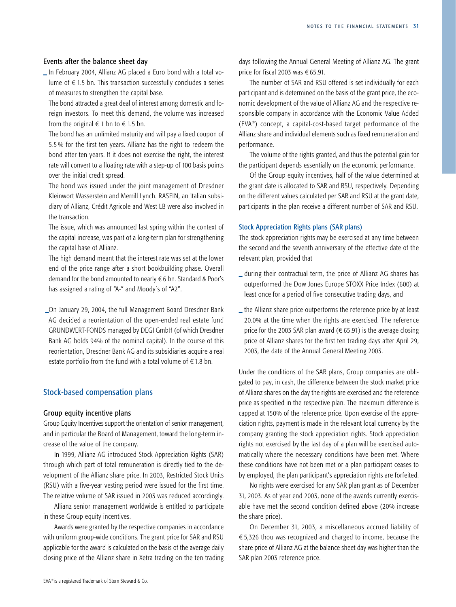## <span id="page-33-0"></span>Events after the balance sheet day

**\_** In February 2004, Allianz AG placed a Euro bond with a total volume of  $\epsilon$  1.5 bn. This transaction successfully concludes a series of measures to strengthen the capital base.

The bond attracted a great deal of interest among domestic and foreign investors. To meet this demand, the volume was increased from the original  $\epsilon$  1 bn to  $\epsilon$  1.5 bn.

The bond has an unlimited maturity and will pay a fixed coupon of 5.5 % for the first ten years. Allianz has the right to redeem the bond after ten years. If it does not exercise the right, the interest rate will convert to a floating rate with a step-up of 100 basis points over the initial credit spread.

The bond was issued under the joint management of Dresdner Kleinwort Wasserstein and Merrill Lynch. RASFIN, an Italian subsidiary of Allianz, Crédit Agricole and West LB were also involved in the transaction.

The issue, which was announced last spring within the context of the capital increase, was part of a long-term plan for strengthening the capital base of Allianz.

The high demand meant that the interest rate was set at the lower end of the price range after a short bookbuilding phase. Overall demand for the bond amounted to nearly  $\epsilon$  6 bn. Standard & Poor's has assigned a rating of "A-" and Moody´s of "A2".

**\_**On January 29, 2004, the full Management Board Dresdner Bank AG decided a reorientation of the open-ended real estate fund GRUNDWERT-FONDS managed by DEGI GmbH (of which Dresdner Bank AG holds 94% of the nominal capital). In the course of this reorientation, Dresdner Bank AG and its subsidiaries acquire a real estate portfolio from the fund with a total volume of  $\epsilon$  1.8 bn.

## Stock-based compensation plans

#### Group equity incentive plans

Group Equity Incentives support the orientation of senior management, and in particular the Board of Management, toward the long-term increase of the value of the company.

In 1999, Allianz AG introduced Stock Appreciation Rights (SAR) through which part of total remuneration is directly tied to the development of the Allianz share price. In 2003, Restricted Stock Units (RSU) with a five-year vesting period were issued for the first time. The relative volume of SAR issued in 2003 was reduced accordingly.

Allianz senior management worldwide is entitled to participate in these Group equity incentives.

Awards were granted by the respective companies in accordance with uniform group-wide conditions. The grant price for SAR and RSU applicable for the award is calculated on the basis of the average daily closing price of the Allianz share in Xetra trading on the ten trading days following the Annual General Meeting of Allianz AG. The grant price for fiscal 2003 was  $\epsilon$  65.91.

The number of SAR and RSU offered is set individually for each participant and is determined on the basis of the grant price, the economic development of the value of Allianz AG and the respective responsible company in accordance with the Economic Value Added (EVA®) concept, a capital-cost-based target performance of the Allianz share and individual elements such as fixed remuneration and performance.

The volume of the rights granted, and thus the potential gain for the participant depends essentially on the economic performance.

Of the Group equity incentives, half of the value determined at the grant date is allocated to SAR and RSU, respectively. Depending on the different values calculated per SAR and RSU at the grant date, participants in the plan receive a different number of SAR and RSU.

## Stock Appreciation Rights plans (SAR plans)

The stock appreciation rights may be exercised at any time between the second and the seventh anniversary of the effective date of the relevant plan, provided that

- **\_** during their contractual term, the price of Allianz AG shares has outperformed the Dow Jones Europe STOXX Price Index (600) at least once for a period of five consecutive trading days, and
- **\_** the Allianz share price outperforms the reference price by at least 20.0% at the time when the rights are exercised. The reference price for the 2003 SAR plan award ( $\epsilon$  65.91) is the average closing price of Allianz shares for the first ten trading days after April 29, 2003, the date of the Annual General Meeting 2003.

Under the conditions of the SAR plans, Group companies are obligated to pay, in cash, the difference between the stock market price of Allianz shares on the day the rights are exercised and the reference price as specified in the respective plan. The maximum difference is capped at 150% of the reference price. Upon exercise of the appreciation rights, payment is made in the relevant local currency by the company granting the stock appreciation rights. Stock appreciation rights not exercised by the last day of a plan will be exercised automatically where the necessary conditions have been met. Where these conditions have not been met or a plan participant ceases to by employed, the plan participant's appreciation rights are forfeited.

No rights were exercised for any SAR plan grant as of December 31, 2003. As of year end 2003, none of the awards currently exercisable have met the second condition defined above (20% increase the share price).

On December 31, 2003, a miscellaneous accrued liability of  $\epsilon$  5,326 thou was recognized and charged to income, because the share price of Allianz AG at the balance sheet day was higher than the SAR plan 2003 reference price.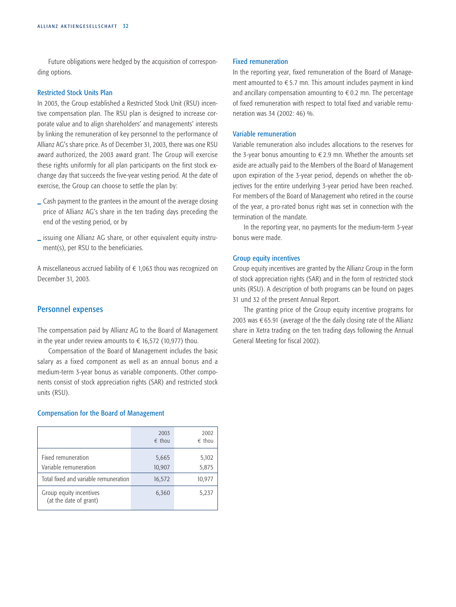Future obligations were hedged by the acquisition of corresponding options.

### Restricted Stock Units Plan

In 2003, the Group established a Restricted Stock Unit (RSU) incentive compensation plan. The RSU plan is designed to increase corporate value and to align shareholders' and managements' interests by linking the remuneration of key personnel to the performance of Allianz AG's share price. As of December 31, 2003, there was one RSU award authorized, the 2003 award grant. The Group will exercise these rights uniformly for all plan participants on the first stock exchange day that succeeds the five-year vesting period. At the date of exercise, the Group can choose to settle the plan by:

- **\_** Cash payment to the grantees in the amount of the average closing price of Allianz AG's share in the ten trading days preceding the end of the vesting period, or by
- **\_** issuing one Allianz AG share, or other equivalent equity instrument(s), per RSU to the beneficiaries.

A miscellaneous accrued liability of  $\epsilon$  1,063 thou was recognized on December 31, 2003.

## Personnel expenses

The compensation paid by Allianz AG to the Board of Management in the year under review amounts to  $\epsilon$  16,572 (10,977) thou.

Compensation of the Board of Management includes the basic salary as a fixed component as well as an annual bonus and a medium-term 3-year bonus as variable components. Other components consist of stock appreciation rights (SAR) and restricted stock units (RSU).

#### Compensation for the Board of Management

|                                                   | 2003<br>$\epsilon$ thou | 2002<br>$\epsilon$ thou |
|---------------------------------------------------|-------------------------|-------------------------|
| Fixed remuneration<br>Variable remuneration       | 5,665<br>10,907         | 5,102<br>5,875          |
| Total fixed and variable remuneration             | 16,572                  | 10,977                  |
| Group equity incentives<br>(at the date of grant) | 6,360                   | 5,237                   |

## Fixed remuneration

In the reporting year, fixed remuneration of the Board of Management amounted to  $\epsilon$  5.7 mn. This amount includes payment in kind and ancillary compensation amounting to  $\epsilon$  0.2 mn. The percentage of fixed remuneration with respect to total fixed and variable remuneration was 34 (2002: 46) %.

## Variable remuneration

Variable remuneration also includes allocations to the reserves for the 3-year bonus amounting to  $\epsilon$  2.9 mn. Whether the amounts set aside are actually paid to the Members of the Board of Management upon expiration of the 3-year period, depends on whether the objectives for the entire underlying 3-year period have been reached. For members of the Board of Management who retired in the course of the year, a pro-rated bonus right was set in connection with the termination of the mandate.

In the reporting year, no payments for the medium-term 3-year bonus were made.

## Group equity incentives

Group equity incentives are granted by the Allianz Group in the form of stock appreciation rights (SAR) and in the form of restricted stock units (RSU). A description of both programs can be found on pages [31 u](#page-33-0)nd 32 of the present Annual Report.

The granting price of the Group equity incentive programs for 2003 was  $\epsilon$  65.91 (average of the the daily closing rate of the Allianz share in Xetra trading on the ten trading days following the Annual General Meeting for fiscal 2002).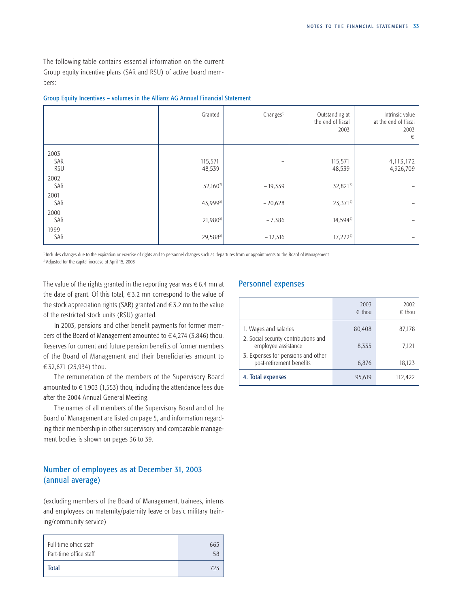The following table contains essential information on the current Group equity incentive plans (SAR and RSU) of active board members:

|                   | Granted           | Changes <sup>1)</sup>         | Outstanding at<br>the end of fiscal<br>2003 | Intrinsic value<br>at the end of fiscal<br>2003<br>€ |
|-------------------|-------------------|-------------------------------|---------------------------------------------|------------------------------------------------------|
| 2003              |                   |                               |                                             |                                                      |
| SAR<br><b>RSU</b> | 115,571<br>48,539 | -<br>$\overline{\phantom{a}}$ | 115,571<br>48,539                           | 4, 113, 172<br>4,926,709                             |
| 2002<br>SAR       | $52,160^{2}$      | $-19,339$                     | 32,8212)                                    |                                                      |
| 2001              |                   |                               |                                             |                                                      |
| SAR<br>2000       | 43,9992)          | $-20,628$                     | $23,371^{2}$                                | $\overline{\phantom{0}}$                             |
| SAR               | $21,980^{2}$      | $-7,386$                      | $14,594^{2}$                                |                                                      |
| 1999<br>SAR       | 29,5882)          | $-12,316$                     | $17,272^{2}$                                |                                                      |

# Group Equity Incentives – volumes in the Allianz AG Annual Financial Statement

<sup>1)</sup> Includes changes due to the expiration or exercise of rights and to personnel changes such as departures from or appointments to the Board of Management

2) Adjusted for the capital increase of April 15, 2003

The value of the rights granted in the reporting year was  $\epsilon$  6.4 mn at the date of grant. Of this total,  $\epsilon$  3.2 mn correspond to the value of the stock appreciation rights (SAR) granted and  $\epsilon$  3.2 mn to the value of the restricted stock units (RSU) granted.

In 2003, pensions and other benefit payments for former members of the Board of Management amounted to  $\epsilon$  4,274 (3,846) thou. Reserves for current and future pension benefits of former members of the Board of Management and their beneficiaries amount to ¤32,671 (23,934) thou.

The remuneration of the members of the Supervisory Board amounted to  $\epsilon$  1,903 (1,553) thou, including the attendance fees due after the 2004 Annual General Meeting.

The names of all members of the Supervisory Board and of the Board of Management are listed on [page 5, a](#page-6-0)nd information regarding their membership in other supervisory and comparable management bodies is shown on page[s 36 to 39.](#page-38-0)

# Number of employees as at December 31, 2003 (annual average)

(excluding members of the Board of Management, trainees, interns and employees on maternity/paternity leave or basic military training/community service)

| Full-time office staff | 665 |
|------------------------|-----|
| Part-time office staff | 58  |
| <b>Total</b>           | 723 |

# Personnel expenses

|                                                                | 2003<br>$\epsilon$ thou | 2002<br>$\epsilon$ thou |
|----------------------------------------------------------------|-------------------------|-------------------------|
| 1. Wages and salaries                                          | 80,408                  | 87,178                  |
| 2. Social security contributions and<br>employee assistance    | 8,335                   | 7,121                   |
| 3. Expenses for pensions and other<br>post-retirement benefits | 6,876                   | 18,123                  |
| 4. Total expenses                                              | 95,619                  | 112,422                 |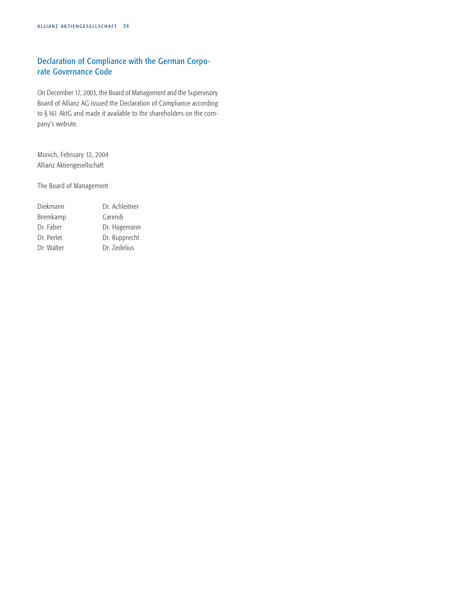# Declaration of Compliance with the German Corporate Governance Code

On December 17, 2003, the Board of Management and the Supervisory Board of Allianz AG issued the Declaration of Compliance according to § 161 AktG and made it available to the shareholders on the company's website.

Munich, February 12, 2004 Allianz Aktiengesellschaft

The Board of Management

| Diekmann   | Dr. Achleitner |
|------------|----------------|
| Bremkamp   | Carendi        |
| Dr. Faber  | Dr. Hagemann   |
| Dr. Perlet | Dr. Rupprecht  |
| Dr. Walter | Dr. Zedelius   |
|            |                |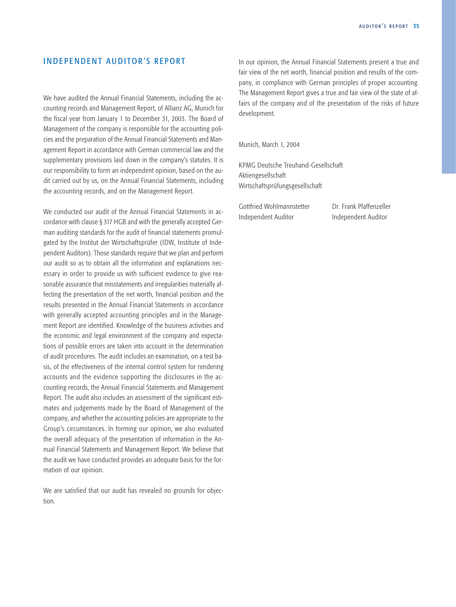# <span id="page-37-0"></span>INDEPENDENT AUDITOR'S REPORT

We have audited the Annual Financial Statements, including the accounting records and Management Report, of Allianz AG, Munich for the fiscal year from January 1 to December 31, 2003. The Board of Management of the company is responsible for the accounting policies and the preparation of the Annual Financial Statements and Management Report in accordance with German commercial law and the supplementary provisions laid down in the company's statutes. It is our responsibility to form an independent opinion, based on the audit carried out by us, on the Annual Financial Statements, including the accounting records, and on the Management Report.

We conducted our audit of the Annual Financial Statements in accordance with clause § 317 HGB and with the generally accepted German auditing standards for the audit of financial statements promulgated by the Institut der Wirtschaftsprüfer (IDW, Institute of Independent Auditors). Those standards require that we plan and perform our audit so as to obtain all the information and explanations necessary in order to provide us with sufficient evidence to give reasonable assurance that misstatements and irregularities materially affecting the presentation of the net worth, financial position and the results presented in the Annual Financial Statements in accordance with generally accepted accounting principles and in the Management Report are identified. Knowledge of the business activities and the economic and legal environment of the company and expectations of possible errors are taken into account in the determination of audit procedures. The audit includes an examination, on a test basis, of the effectiveness of the internal control system for rendering accounts and the evidence supporting the disclosures in the accounting records, the Annual Financial Statements and Management Report. The audit also includes an assessment of the significant estimates and judgements made by the Board of Management of the company, and whether the accounting policies are appropriate to the Group's circumstances. In forming our opinion, we also evaluated the overall adequacy of the presentation of information in the Annual Financial Statements and Management Report. We believe that the audit we have conducted provides an adequate basis for the formation of our opinion.

We are satisfied that our audit has revealed no grounds for objection.

In our opinion, the Annual Financial Statements present a true and fair view of the net worth, financial position and results of the company, in compliance with German principles of proper accounting. The Management Report gives a true and fair view of the state of affairs of the company and of the presentation of the risks of future development.

Munich, March 1, 2004

KPMG Deutsche Treuhand-Gesellschaft Aktiengesellschaft Wirtschaftsprüfungsgesellschaft

Gottfried Wohlmannstetter Dr. Frank Pfaffenzeller Independent Auditor Independent Auditor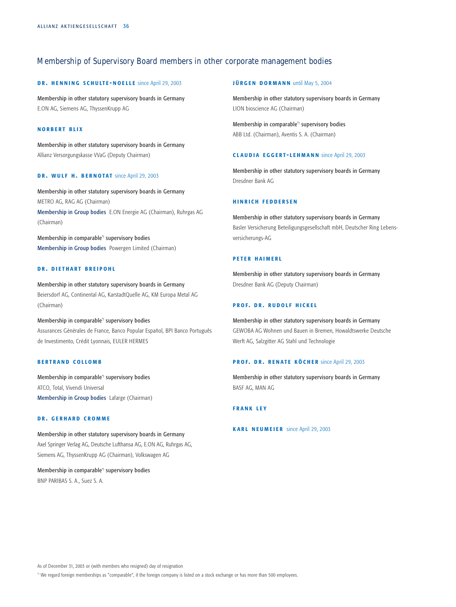# <span id="page-38-0"></span>Membership of Supervisory Board members in other corporate management bodies

#### DR. HENNING SCHULTE-NOELLE since April 29, 2003

Membership in other statutory supervisory boards in Germany E.ON AG, Siemens AG, ThyssenKrupp AG

#### NORBERT BLIX

Membership in other statutory supervisory boards in Germany Allianz Versorgungskasse VVaG (Deputy Chairman)

### DR. WULF H. BERNOTAT since April 29, 2003

Membership in other statutory supervisory boards in Germany METRO AG, RAG AG (Chairman) Membership in Group bodies E.ON Energie AG (Chairman), Ruhrgas AG (Chairman)

Membership in comparable\*) supervisory bodies Membership in Group bodies Powergen Limited (Chairman)

# DR. DIETHART BREIPOHL

# Membership in other statutory supervisory boards in Germany Beiersdorf AG, Continental AG, KarstadtQuelle AG, KM Europa Metal AG (Chairman)

Membership in comparable\*) supervisory bodies Assurances Générales de France, Banco Popular Español, BPI Banco Português de Investimento, Crédit Lyonnais, EULER HERMES

#### BERTRAND COLLOMB

Membership in comparable\*) supervisory bodies ATCO, Total, Vivendi Universal Membership in Group bodies Lafarge (Chairman)

### DR. GERHARD CROMME

Membership in other statutory supervisory boards in Germany Axel Springer Verlag AG, Deutsche Lufthansa AG, E.ON AG, Ruhrgas AG, Siemens AG, ThyssenKrupp AG (Chairman), Volkswagen AG

Membership in comparable\*) supervisory bodies BNP PARIBAS S. A., Suez S. A.

#### JÜRGEN DORMANN until May 5, 2004

Membership in other statutory supervisory boards in Germany LION bioscience AG (Chairman)

Membership in comparable\*) supervisory bodies ABB Ltd. (Chairman), Aventis S. A. (Chairman)

### CLAUDIA EGGERT - LEHMANN since April 29, 2003

Membership in other statutory supervisory boards in Germany Dresdner Bank AG

### HINRICH FEDDERSEN

Membership in other statutory supervisory boards in Germany Basler Versicherung Beteiligungsgesellschaft mbH, Deutscher Ring Lebensversicherungs-AG

## PETER HAIMERL

Membership in other statutory supervisory boards in Germany Dresdner Bank AG (Deputy Chairman)

#### PROF. DR. RUDOLF HICKEL

Membership in other statutory supervisory boards in Germany GEWOBA AG Wohnen und Bauen in Bremen, Howaldtswerke Deutsche Werft AG, Salzgitter AG Stahl und Technologie

#### PROF. DR. RENATE KÖCHER since April 29, 2003

Membership in other statutory supervisory boards in Germany BASF AG, MAN AG

### FRANK LEY

KARL NEUMEIER since April 29, 2003

As of December 31, 2003 or (with members who resigned) day of resignation

\*) We regard foreign memberships as "comparable", if the foreign company is listed on a stock exchange or has more than 500 employees.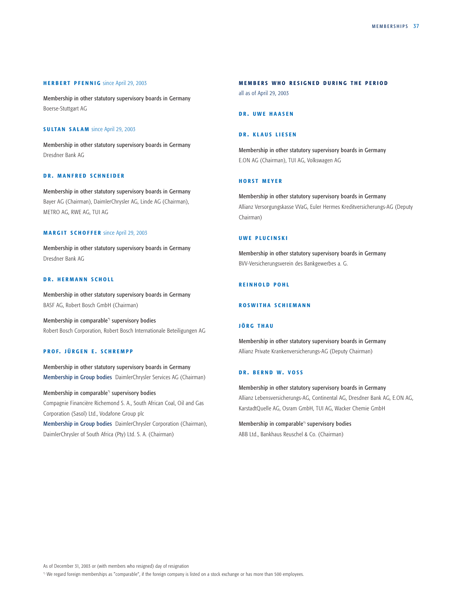#### HERBERT PFENNIG since April 29, 2003

Membership in other statutory supervisory boards in Germany Boerse-Stuttgart AG

#### SULTAN SALAM since April 29, 2003

Membership in other statutory supervisory boards in Germany Dresdner Bank AG

### DR. MANFRED SCHNEIDER

Membership in other statutory supervisory boards in Germany Bayer AG (Chairman), DaimlerChrysler AG, Linde AG (Chairman), METRO AG, RWE AG, TUI AG

#### MAR GIT SCHOFFER since April 29, 2003

Membership in other statutory supervisory boards in Germany Dresdner Bank AG

### DR. HERMANN SCHOLL

Membership in other statutory supervisory boards in Germany BASF AG, Robert Bosch GmbH (Chairman)

Membership in comparable\*) supervisory bodies Robert Bosch Corporation, Robert Bosch Internationale Beteiligungen AG

#### PROF. JÜRGEN E. SCHREMPP

Membership in other statutory supervisory boards in Germany Membership in Group bodies DaimlerChrysler Services AG (Chairman)

### Membership in comparable\*) supervisory bodies

Compagnie Financière Richemond S. A., South African Coal, Oil and Gas Corporation (Sasol) Ltd., Vodafone Group plc

Membership in Group bodies DaimlerChrysler Corporation (Chairman), DaimlerChrysler of South Africa (Pty) Ltd. S. A. (Chairman)

#### MEMBERS WHO RESIGNED DURING THE PERIOD

all as of April 29, 2003

### DR. UWE HAASEN

### DR. KLAUS LIESEN

Membership in other statutory supervisory boards in Germany E.ON AG (Chairman), TUI AG, Volkswagen AG

### HORST MEYER

Membership in other statutory supervisory boards in Germany Allianz Versorgungskasse VVaG, Euler Hermes Kreditversicherungs-AG (Deputy Chairman)

#### UWE PLUCINSKI

Membership in other statutory supervisory boards in Germany BVV-Versicherungsverein des Bankgewerbes a. G.

### REINHOLD POHL

#### R O SWITHA SCHIEMANN

#### JÖRG THAU

Membership in other statutory supervisory boards in Germany Allianz Private Krankenversicherungs-AG (Deputy Chairman)

### DR. BERND W. VOSS

Membership in other statutory supervisory boards in Germany Allianz Lebensversicherungs-AG, Continental AG, Dresdner Bank AG, E.ON AG, KarstadtQuelle AG, Osram GmbH, TUI AG, Wacker Chemie GmbH

Membership in comparable\*) supervisory bodies ABB Ltd., Bankhaus Reuschel & Co. (Chairman)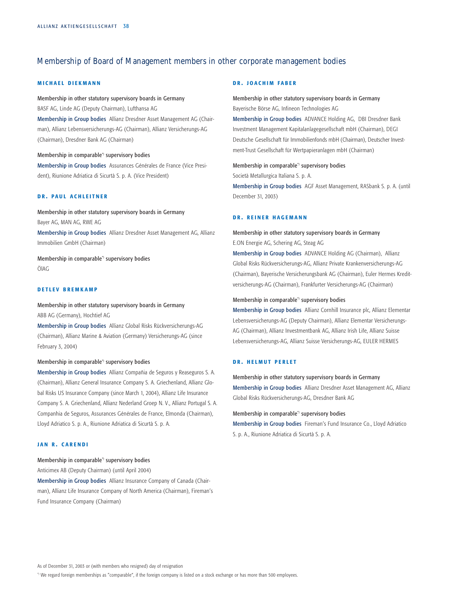# Membership of Board of Management members in other corporate management bodies

### **MICHAEL DIEKMANN**

Membership in other statutory supervisory boards in Germany BASF AG, Linde AG (Deputy Chairman), Lufthansa AG Membership in Group bodies Allianz Dresdner Asset Management AG (Chairman), Allianz Lebensversicherungs-AG (Chairman), Allianz Versicherungs-AG (Chairman), Dresdner Bank AG (Chairman)

Membership in comparable<sup>\*</sup> supervisory bodies Membership in Group bodies Assurances Générales de France (Vice President), Riunione Adriatica di Sicurtà S. p. A. (Vice President)

#### DR. PAUL ACHLEITNER

Membership in other statutory supervisory boards in Germany Bayer AG, MAN AG, RWE AG Membership in Group bodies Allianz Dresdner Asset Management AG, Allianz Immobilien GmbH (Chairman)

Membership in comparable<sup>\*</sup> supervisory bodies ÖlAG

#### DETLEV BREMKAMP

Membership in other statutory supervisory boards in Germany ABB AG (Germany), Hochtief AG

Membership in Group bodies Allianz Global Risks Rückversicherungs-AG (Chairman), Allianz Marine & Aviation (Germany) Versicherungs-AG (since February 3, 2004)

#### Membership in comparable<sup>\*</sup> supervisory bodies

Membership in Group bodies Allianz Compañia de Seguros y Reaseguros S. A. (Chairman), Allianz General Insurance Company S. A. Griechenland, Allianz Global Risks US Insurance Company (since March 1, 2004), Allianz Life Insurance Company S. A. Griechenland, Allianz Nederland Groep N. V., Allianz Portugal S. A. Companhia de Seguros, Assurances Générales de France, Elmonda (Chairman), Lloyd Adriatico S. p. A., Riunione Adriatica di Sicurtà S. p. A.

### **JAN R. CARENDI**

### Membership in comparable\*) supervisory bodies

Anticimex AB (Deputy Chairman) (until April 2004) Membership in Group bodies Allianz Insurance Company of Canada (Chairman), Allianz Life Insurance Company of North America (Chairman), Fireman's Fund Insurance Company (Chairman)

#### DR. JOACHIM FABER

Membership in other statutory supervisory boards in Germany Bayerische Börse AG, Infineon Technologies AG

Membership in Group bodies ADVANCE Holding AG, DBI Dresdner Bank Investment Management Kapitalanlagegesellschaft mbH (Chairman), DEGI Deutsche Gesellschaft für Immobilienfonds mbH (Chairman), Deutscher Investment-Trust Gesellschaft für Wertpapieranlagen mbH (Chairman)

Membership in comparable<sup>\*</sup> supervisory bodies Società Metallurgica Italiana S. p. A. Membership in Group bodies AGF Asset Management, RASbank S. p. A. (until December 31, 2003)

#### DR. REINER HAGEMANN

Membership in other statutory supervisory boards in Germany E.ON Energie AG, Schering AG, Steag AG

Membership in Group bodies ADVANCE Holding AG (Chairman), Allianz Global Risks Rückversicherungs-AG, Allianz Private Krankenversicherungs-AG (Chairman), Bayerische Versicherungsbank AG (Chairman), Euler Hermes Kreditversicherungs-AG (Chairman), Frankfurter Versicherungs-AG (Chairman)

#### Membership in comparable\*) supervisory bodies

Membership in Group bodies Allianz Cornhill Insurance plc, Allianz Elementar Lebensversicherungs-AG (Deputy Chairman), Allianz Elementar Versicherungs-AG (Chairman), Allianz Investmentbank AG, Allianz Irish Life, Allianz Suisse Lebensversicherungs-AG, Allianz Suisse Versicherungs-AG, EULER HERMES

#### DR. HELMUT PERIET

Membership in other statutory supervisory boards in Germany Membership in Group bodies Allianz Dresdner Asset Management AG, Allianz

Membership in comparable\*) supervisory bodies

Global Risks Rückversicherungs-AG, Dresdner Bank AG

Membership in Group bodies Fireman's Fund Insurance Co., Lloyd Adriatico S. p. A., Riunione Adriatica di Sicurtà S. p. A.

\*) We regard foreign memberships as "comparable", if the foreign company is listed on a stock exchange or has more than 500 employees.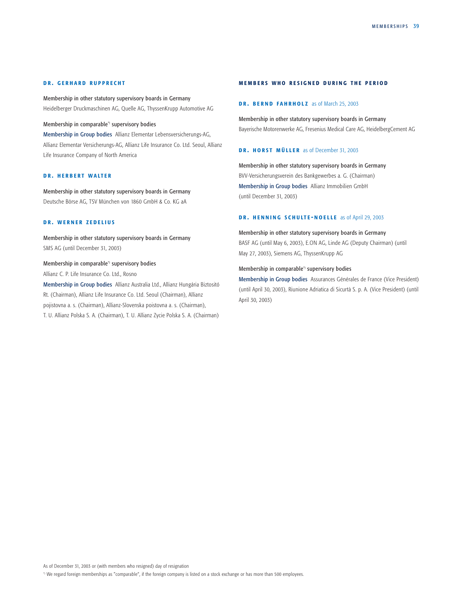#### DR. GERHARD RUPPRECHT

Membership in other statutory supervisory boards in Germany Heidelberger Druckmaschinen AG, Quelle AG, ThyssenKrupp Automotive AG

### Membership in comparable\*) supervisory bodies

Membership in Group bodies Allianz Elementar Lebensversicherungs-AG, Allianz Elementar Versicherungs-AG, Allianz Life Insurance Co. Ltd. Seoul, Allianz Life Insurance Company of North America

### DR. HERBERT WALTER

Membership in other statutory supervisory boards in Germany Deutsche Börse AG, TSV München von 1860 GmbH & Co. KG aA

### DR. WERNER ZEDELIUS

Membership in other statutory supervisory boards in Germany SMS AG (until December 31, 2003)

# Membership in comparable<sup>\*</sup> supervisory bodies

Allianz C. P. Life Insurance Co. Ltd., Rosno

Membership in Group bodies Allianz Australia Ltd., Allianz Hungária Biztositó Rt. (Chairman), Allianz Life Insurance Co. Ltd. Seoul (Chairman), Allianz pojistovna a. s. (Chairman), Allianz-Slovenska poistovna a. s. (Chairman), T. U. Allianz Polska S. A. (Chairman), T. U. Allianz Zycie Polska S. A. (Chairman)

#### MEMBERS WHO RESIGNED DURING THE PERIOD

### DR. BERND FAHRHOLZ as of March 25, 2003

Membership in other statutory supervisory boards in Germany Bayerische Motorenwerke AG, Fresenius Medical Care AG, HeidelbergCement AG

#### DR. HORST MÜLLER as of December 31, 2003

Membership in other statutory supervisory boards in Germany BVV-Versicherungsverein des Bankgewerbes a. G. (Chairman) Membership in Group bodies Allianz Immobilien GmbH (until December 31, 2003)

#### DR. HENNING SCHULTE-NOELLE as of April 29, 2003

#### Membership in other statutory supervisory boards in Germany

BASF AG (until May 6, 2003), E.ON AG, Linde AG (Deputy Chairman) (until May 27, 2003), Siemens AG, ThyssenKrupp AG

#### Membership in comparable\*) supervisory bodies

Membership in Group bodies Assurances Générales de France (Vice President) (until April 30, 2003), Riunione Adriatica di Sicurtà S. p. A. (Vice President) (until April 30, 2003)